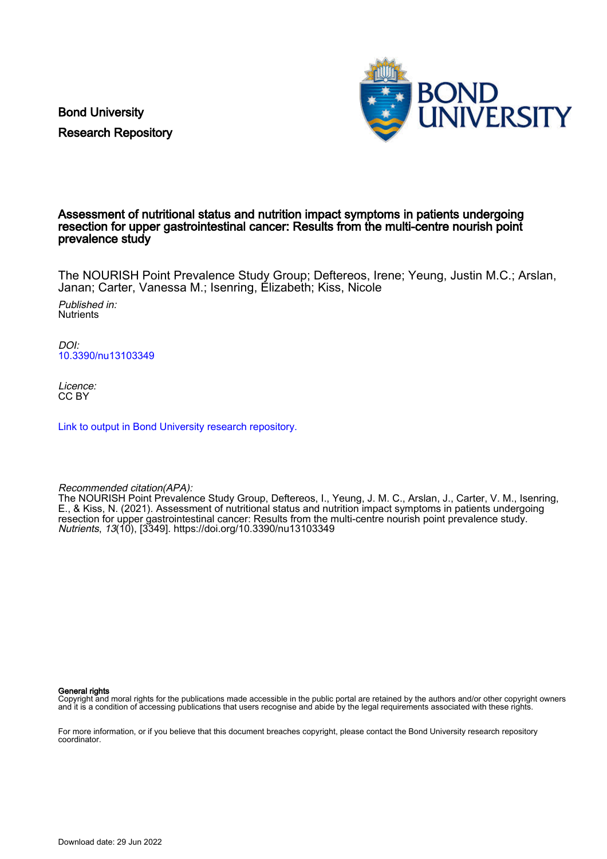Bond University Research Repository



## Assessment of nutritional status and nutrition impact symptoms in patients undergoing resection for upper gastrointestinal cancer: Results from the multi-centre nourish point prevalence study

The NOURISH Point Prevalence Study Group; Deftereos, Irene; Yeung, Justin M.C.; Arslan, Janan; Carter, Vanessa M.; Isenring, Elizabeth; Kiss, Nicole

Published in: **Nutrients** 

DOI: [10.3390/nu13103349](https://doi.org/10.3390/nu13103349)

Licence: CC BY

[Link to output in Bond University research repository.](https://research.bond.edu.au/en/publications/9c29ab6f-afd5-4d9b-b7c6-b3e49c97b465)

Recommended citation(APA):

The NOURISH Point Prevalence Study Group, Deftereos, I., Yeung, J. M. C., Arslan, J., Carter, V. M., Isenring, E., & Kiss, N. (2021). Assessment of nutritional status and nutrition impact symptoms in patients undergoing resection for upper gastrointestinal cancer: Results from the multi-centre nourish point prevalence study. Nutrients, 13(10), [3349].<https://doi.org/10.3390/nu13103349>

General rights

Copyright and moral rights for the publications made accessible in the public portal are retained by the authors and/or other copyright owners and it is a condition of accessing publications that users recognise and abide by the legal requirements associated with these rights.

For more information, or if you believe that this document breaches copyright, please contact the Bond University research repository coordinator.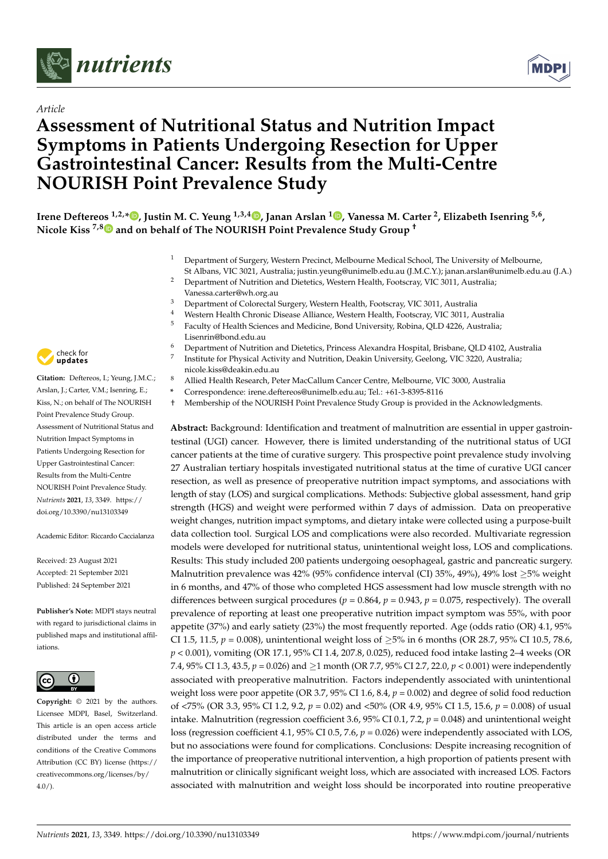

## *Article*

# **Assessment of Nutritional Status and Nutrition Impact Symptoms in Patients Undergoing Resection for Upper Gastrointestinal Cancer: Results from the Multi-Centre NOURISH Point Prevalence Study**



**Irene Deftereos 1,2,\* [,](https://orcid.org/0000-0002-3822-147X) Justin M. C. Yeung 1,3,[4](https://orcid.org/0000-0002-7230-149X) , Janan Arslan <sup>1</sup> [,](https://orcid.org/0000-0003-2683-3775) Vanessa M. Carter <sup>2</sup> , Elizabeth Isenring 5,6 , Nicole Kiss 7,[8](https://orcid.org/0000-0002-6476-9834) and on behalf of The NOURISH Point Prevalence Study Group †**

- <sup>1</sup> Department of Surgery, Western Precinct, Melbourne Medical School, The University of Melbourne,
- St Albans, VIC 3021, Australia; justin.yeung@unimelb.edu.au (J.M.C.Y.); janan.arslan@unimelb.edu.au (J.A.) <sup>2</sup> Department of Nutrition and Dietetics, Western Health, Footscray, VIC 3011, Australia;
	- Vanessa.carter@wh.org.au
- <sup>3</sup> Department of Colorectal Surgery, Western Health, Footscray, VIC 3011, Australia<br><sup>4</sup> Western Health Chronic Disease Alliance Western Health, Footspray, VIC 3011, Au
- <sup>4</sup> Western Health Chronic Disease Alliance, Western Health, Footscray, VIC 3011, Australia <sup>5</sup> Faculty of Health Sciences and Medicine, Bond University, Robina, QLD 4226, Australia;
- Lisenrin@bond.edu.au <sup>6</sup> Department of Nutrition and Dietetics, Princess Alexandra Hospital, Brisbane, QLD 4102, Australia
- 7 Institute for Physical Activity and Nutrition, Deakin University, Geelong, VIC 3220, Australia; nicole.kiss@deakin.edu.au
- <sup>8</sup> Allied Health Research, Peter MacCallum Cancer Centre, Melbourne, VIC 3000, Australia
- **\*** Correspondence: irene.deftereos@unimelb.edu.au; Tel.: +61-3-8395-8116
- † Membership of the NOURISH Point Prevalence Study Group is provided in the Acknowledgments.

**Abstract:** Background: Identification and treatment of malnutrition are essential in upper gastrointestinal (UGI) cancer. However, there is limited understanding of the nutritional status of UGI cancer patients at the time of curative surgery. This prospective point prevalence study involving 27 Australian tertiary hospitals investigated nutritional status at the time of curative UGI cancer resection, as well as presence of preoperative nutrition impact symptoms, and associations with length of stay (LOS) and surgical complications. Methods: Subjective global assessment, hand grip strength (HGS) and weight were performed within 7 days of admission. Data on preoperative weight changes, nutrition impact symptoms, and dietary intake were collected using a purpose-built data collection tool. Surgical LOS and complications were also recorded. Multivariate regression models were developed for nutritional status, unintentional weight loss, LOS and complications. Results: This study included 200 patients undergoing oesophageal, gastric and pancreatic surgery. Malnutrition prevalence was 42% (95% confidence interval (CI) 35%, 49%), 49% lost ≥5% weight in 6 months, and 47% of those who completed HGS assessment had low muscle strength with no differences between surgical procedures ( $p = 0.864$ ,  $p = 0.943$ ,  $p = 0.075$ , respectively). The overall prevalence of reporting at least one preoperative nutrition impact symptom was 55%, with poor appetite (37%) and early satiety (23%) the most frequently reported. Age (odds ratio (OR) 4.1, 95% CI 1.5, 11.5,  $p = 0.008$ ), unintentional weight loss of  $\geq 5\%$  in 6 months (OR 28.7, 95% CI 10.5, 78.6, *p* < 0.001), vomiting (OR 17.1, 95% CI 1.4, 207.8, 0.025), reduced food intake lasting 2–4 weeks (OR 7.4, 95% CI 1.3, 43.5, *p* = 0.026) and ≥1 month (OR 7.7, 95% CI 2.7, 22.0, *p* < 0.001) were independently associated with preoperative malnutrition. Factors independently associated with unintentional weight loss were poor appetite (OR 3.7, 95% CI 1.6, 8.4, *p* = 0.002) and degree of solid food reduction of <75% (OR 3.3, 95% CI 1.2, 9.2, *p* = 0.02) and <50% (OR 4.9, 95% CI 1.5, 15.6, *p* = 0.008) of usual intake. Malnutrition (regression coefficient 3.6, 95% CI 0.1, 7.2, *p* = 0.048) and unintentional weight loss (regression coefficient 4.1, 95% CI 0.5, 7.6, *p* = 0.026) were independently associated with LOS, but no associations were found for complications. Conclusions: Despite increasing recognition of the importance of preoperative nutritional intervention, a high proportion of patients present with malnutrition or clinically significant weight loss, which are associated with increased LOS. Factors associated with malnutrition and weight loss should be incorporated into routine preoperative



**Citation:** Deftereos, I.; Yeung, J.M.C.; Arslan, J.; Carter, V.M.; Isenring, E.; Kiss, N.; on behalf of The NOURISH Point Prevalence Study Group. Assessment of Nutritional Status and Nutrition Impact Symptoms in Patients Undergoing Resection for Upper Gastrointestinal Cancer: Results from the Multi-Centre NOURISH Point Prevalence Study. *Nutrients* **2021**, *13*, 3349. [https://](https://doi.org/10.3390/nu13103349) [doi.org/10.3390/nu13103349](https://doi.org/10.3390/nu13103349)

Academic Editor: Riccardo Caccialanza

Received: 23 August 2021 Accepted: 21 September 2021 Published: 24 September 2021

**Publisher's Note:** MDPI stays neutral with regard to jurisdictional claims in published maps and institutional affiliations.



**Copyright:** © 2021 by the authors. Licensee MDPI, Basel, Switzerland. This article is an open access article distributed under the terms and conditions of the Creative Commons Attribution (CC BY) license (https:/[/](https://creativecommons.org/licenses/by/4.0/) [creativecommons.org/licenses/by/](https://creativecommons.org/licenses/by/4.0/)  $4.0/$ ).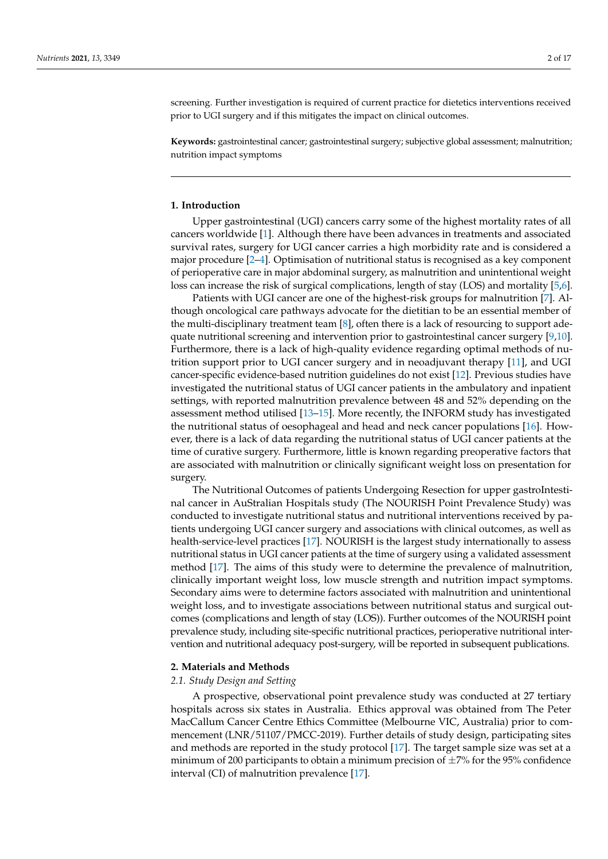screening. Further investigation is required of current practice for dietetics interventions received prior to UGI surgery and if this mitigates the impact on clinical outcomes.

**Keywords:** gastrointestinal cancer; gastrointestinal surgery; subjective global assessment; malnutrition; nutrition impact symptoms

### **1. Introduction**

Upper gastrointestinal (UGI) cancers carry some of the highest mortality rates of all cancers worldwide [\[1\]](#page-15-0). Although there have been advances in treatments and associated survival rates, surgery for UGI cancer carries a high morbidity rate and is considered a major procedure [\[2](#page-15-1)[–4\]](#page-15-2). Optimisation of nutritional status is recognised as a key component of perioperative care in major abdominal surgery, as malnutrition and unintentional weight loss can increase the risk of surgical complications, length of stay (LOS) and mortality [\[5,](#page-15-3)[6\]](#page-15-4).

Patients with UGI cancer are one of the highest-risk groups for malnutrition [\[7\]](#page-15-5). Although oncological care pathways advocate for the dietitian to be an essential member of the multi-disciplinary treatment team [\[8\]](#page-15-6), often there is a lack of resourcing to support adequate nutritional screening and intervention prior to gastrointestinal cancer surgery [\[9](#page-16-0)[,10\]](#page-16-1). Furthermore, there is a lack of high-quality evidence regarding optimal methods of nutrition support prior to UGI cancer surgery and in neoadjuvant therapy [\[11\]](#page-16-2), and UGI cancer-specific evidence-based nutrition guidelines do not exist [\[12\]](#page-16-3). Previous studies have investigated the nutritional status of UGI cancer patients in the ambulatory and inpatient settings, with reported malnutrition prevalence between 48 and 52% depending on the assessment method utilised [\[13–](#page-16-4)[15\]](#page-16-5). More recently, the INFORM study has investigated the nutritional status of oesophageal and head and neck cancer populations [\[16\]](#page-16-6). However, there is a lack of data regarding the nutritional status of UGI cancer patients at the time of curative surgery. Furthermore, little is known regarding preoperative factors that are associated with malnutrition or clinically significant weight loss on presentation for surgery.

The Nutritional Outcomes of patients Undergoing Resection for upper gastroIntestinal cancer in AuStralian Hospitals study (The NOURISH Point Prevalence Study) was conducted to investigate nutritional status and nutritional interventions received by patients undergoing UGI cancer surgery and associations with clinical outcomes, as well as health-service-level practices [\[17\]](#page-16-7). NOURISH is the largest study internationally to assess nutritional status in UGI cancer patients at the time of surgery using a validated assessment method [\[17\]](#page-16-7). The aims of this study were to determine the prevalence of malnutrition, clinically important weight loss, low muscle strength and nutrition impact symptoms. Secondary aims were to determine factors associated with malnutrition and unintentional weight loss, and to investigate associations between nutritional status and surgical outcomes (complications and length of stay (LOS)). Further outcomes of the NOURISH point prevalence study, including site-specific nutritional practices, perioperative nutritional intervention and nutritional adequacy post-surgery, will be reported in subsequent publications.

#### **2. Materials and Methods**

#### *2.1. Study Design and Setting*

A prospective, observational point prevalence study was conducted at 27 tertiary hospitals across six states in Australia. Ethics approval was obtained from The Peter MacCallum Cancer Centre Ethics Committee (Melbourne VIC, Australia) prior to commencement (LNR/51107/PMCC-2019). Further details of study design, participating sites and methods are reported in the study protocol [\[17\]](#page-16-7). The target sample size was set at a minimum of 200 participants to obtain a minimum precision of  $\pm$ 7% for the 95% confidence interval (CI) of malnutrition prevalence [\[17\]](#page-16-7).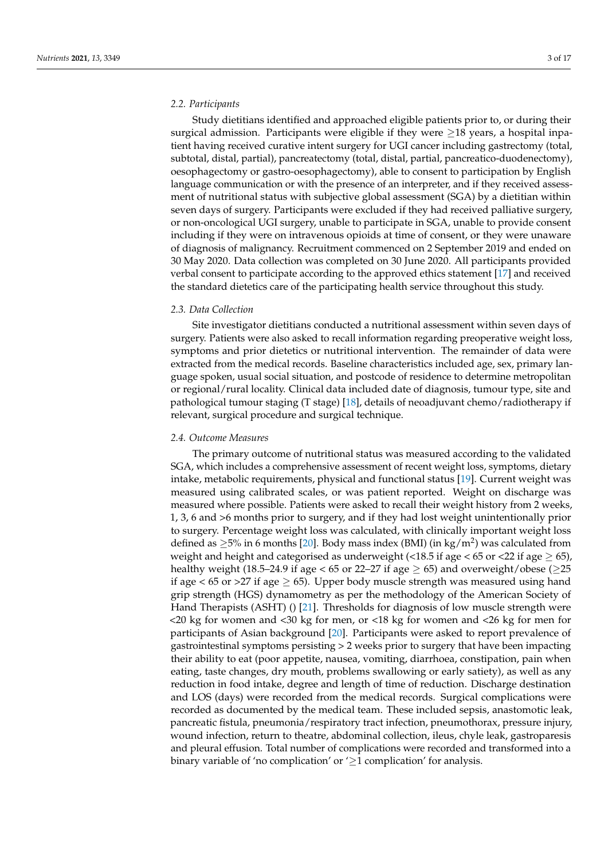### *2.2. Participants*

Study dietitians identified and approached eligible patients prior to, or during their surgical admission. Participants were eligible if they were  $\geq$ 18 years, a hospital inpatient having received curative intent surgery for UGI cancer including gastrectomy (total, subtotal, distal, partial), pancreatectomy (total, distal, partial, pancreatico-duodenectomy), oesophagectomy or gastro-oesophagectomy), able to consent to participation by English language communication or with the presence of an interpreter, and if they received assessment of nutritional status with subjective global assessment (SGA) by a dietitian within seven days of surgery. Participants were excluded if they had received palliative surgery, or non-oncological UGI surgery, unable to participate in SGA, unable to provide consent including if they were on intravenous opioids at time of consent, or they were unaware of diagnosis of malignancy. Recruitment commenced on 2 September 2019 and ended on 30 May 2020. Data collection was completed on 30 June 2020. All participants provided verbal consent to participate according to the approved ethics statement [\[17\]](#page-16-7) and received the standard dietetics care of the participating health service throughout this study.

#### *2.3. Data Collection*

Site investigator dietitians conducted a nutritional assessment within seven days of surgery. Patients were also asked to recall information regarding preoperative weight loss, symptoms and prior dietetics or nutritional intervention. The remainder of data were extracted from the medical records. Baseline characteristics included age, sex, primary language spoken, usual social situation, and postcode of residence to determine metropolitan or regional/rural locality. Clinical data included date of diagnosis, tumour type, site and pathological tumour staging (T stage) [\[18\]](#page-16-8), details of neoadjuvant chemo/radiotherapy if relevant, surgical procedure and surgical technique.

### *2.4. Outcome Measures*

The primary outcome of nutritional status was measured according to the validated SGA, which includes a comprehensive assessment of recent weight loss, symptoms, dietary intake, metabolic requirements, physical and functional status [\[19\]](#page-16-9). Current weight was measured using calibrated scales, or was patient reported. Weight on discharge was measured where possible. Patients were asked to recall their weight history from 2 weeks, 1, 3, 6 and >6 months prior to surgery, and if they had lost weight unintentionally prior to surgery. Percentage weight loss was calculated, with clinically important weight loss defined as  $\geq$ 5% in 6 months [\[20\]](#page-16-10). Body mass index (BMI) (in kg/m<sup>2</sup>) was calculated from weight and height and categorised as underweight (<18.5 if age < 65 or <22 if age  $\geq$  65), healthy weight (18.5–24.9 if age < 65 or 22–27 if age  $\geq$  65) and overweight/obese ( $\geq$ 25 if age  $<$  65 or >27 if age  $\geq$  65). Upper body muscle strength was measured using hand grip strength (HGS) dynamometry as per the methodology of the American Society of Hand Therapists (ASHT) () [\[21\]](#page-16-11). Thresholds for diagnosis of low muscle strength were <20 kg for women and <30 kg for men, or <18 kg for women and <26 kg for men for participants of Asian background [\[20\]](#page-16-10). Participants were asked to report prevalence of gastrointestinal symptoms persisting > 2 weeks prior to surgery that have been impacting their ability to eat (poor appetite, nausea, vomiting, diarrhoea, constipation, pain when eating, taste changes, dry mouth, problems swallowing or early satiety), as well as any reduction in food intake, degree and length of time of reduction. Discharge destination and LOS (days) were recorded from the medical records. Surgical complications were recorded as documented by the medical team. These included sepsis, anastomotic leak, pancreatic fistula, pneumonia/respiratory tract infection, pneumothorax, pressure injury, wound infection, return to theatre, abdominal collection, ileus, chyle leak, gastroparesis and pleural effusion. Total number of complications were recorded and transformed into a binary variable of 'no complication' or  $\geq 1$  complication' for analysis.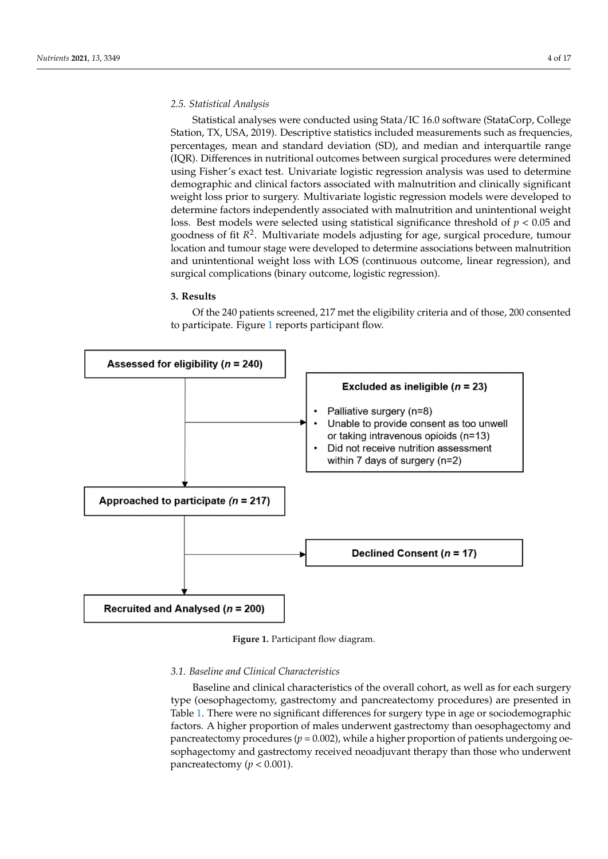### *2.5. Statistical Analysis 2.5. Statistical Analysis*

Statistical analyses were conducted using Stata/IC 16.0 software (StataCorp, College Statistical analyses were conducted using Stata/IC 16.0 software (StataCorp, College Station, TX, USA, 2019). Descriptive statistics included measurements such as frequencies, percentages, mean and standard deviation (SD), and median and interquartile range percentages, mean and standard deviation (SD), and median and interquartile range (IQR). Differences in nutritional outcomes between surgical procedures were determined (IQR). Differences in nutritional outcomes between surgical procedures were determined using Fisher's exact test. Univariate logistic regression analysis was used to determine using Fisher's exact test. Univariate logistic regression analysis was used to determine demographic and clinical factors associated with malnutrition and clinically significant demographic and clinical factors associated with malnutrition and clinically significant weight loss prior to surgery. Multivariate logistic regression models were developed to weight loss prior to surgery. Multivariate logistic regression models were developed to determine factors independently associated with malnutrition and unintentional weight determine factors independently associated with malnutrition and unintentional weight loss. Best models were selected using statistical significance threshold of  $p < 0.05$  and goodness of fit  $R^2$ . Multivariate models adjusting for age, surgical procedure, tumour location and tumour stage were developed to determine associations between malnutrition and unintentional weight loss with LOS (continuous outcome, linear regression), and surgical complications (binary outcome, logistic regression).

# **3. Results 3. Results**

Of the 240 patients screened, 217 met the eligibility criteria and of those, 200 consented<br>utisinate Figure 1 reports partisipant flow to participate. Figure [1](#page-4-0) reports participant flow.

<span id="page-4-0"></span>

**Figure 1.** Participant flow diagram. **Figure 1.** Participant flow diagram.

# Baseline and clinical characteristics of the overall cohort, as well as for each surgery *3.1. Baseline and Clinical Characteristics*

Baseline and clinical characteristics of the overall cohort, as well as for each surgery type (oesophagectomy, gastrectomy and pancreatectomy procedures) are presented in Table [1.](#page-5-0) There were no significant differences for surgery type in age or sociodemographic factors. A higher proportion of males underwent gastrectomy than oesophagectomy and pancreatectomy procedures ( $p = 0.002$ ), while a higher proportion of patients undergoing oesophagectomy and gastrectomy received neoadjuvant therapy than those who underwent pancreatectomy ( $p < 0.001$ ).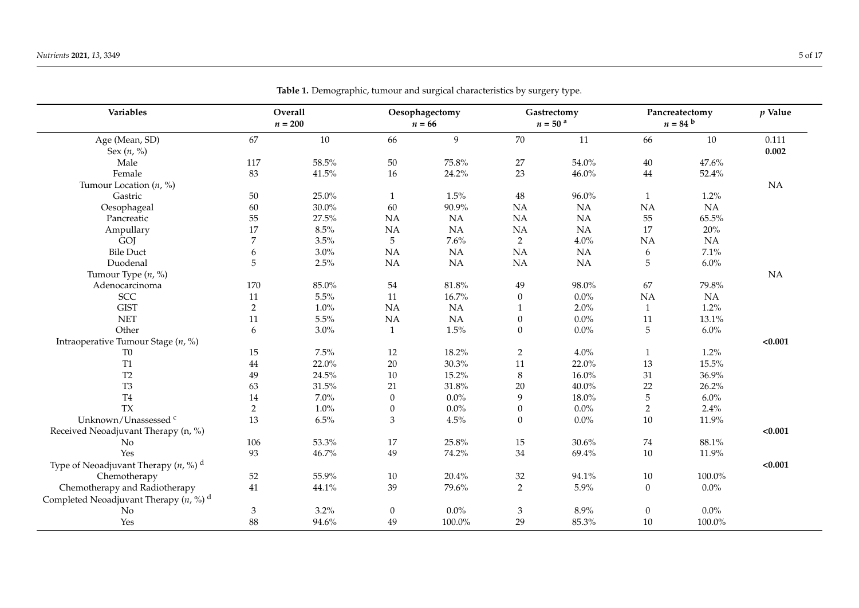<span id="page-5-0"></span>

| Variables                                           | Overall<br>$n=200$ |          |                  | Oesophagectomy<br>$n = 66$ |                  | Gastrectomy<br>$n = 50$ <sup>a</sup> |                  | Pancreatectomy<br>$n = 84$ b |         |
|-----------------------------------------------------|--------------------|----------|------------------|----------------------------|------------------|--------------------------------------|------------------|------------------------------|---------|
| Age (Mean, SD)                                      | 67                 | $10\,$   | 66               | 9                          | 70               | 11                                   | 66               | $10\,$                       | 0.111   |
| Sex $(n, \frac{9}{0})$                              |                    |          |                  |                            |                  |                                      |                  |                              | 0.002   |
| Male                                                | 117                | $58.5\%$ | $50\,$           | 75.8%                      | 27               | 54.0%                                | $40\,$           | 47.6%                        |         |
| Female                                              | 83                 | 41.5%    | 16               | 24.2%                      | 23               | 46.0%                                | 44               | 52.4%                        |         |
| Tumour Location $(n, %)$                            |                    |          |                  |                            |                  |                                      |                  |                              | NA      |
| Gastric                                             | $50\,$             | 25.0%    | 1                | 1.5%                       | $48\,$           | $96.0\%$                             | 1                | 1.2%                         |         |
| Oesophageal                                         | 60                 | $30.0\%$ | 60               | 90.9%                      | NA               | NA                                   | NA               | NA                           |         |
| Pancreatic                                          | 55                 | 27.5%    | NA               | NA                         | NA               | NA                                   | 55               | 65.5%                        |         |
| Ampullary                                           | 17                 | 8.5%     | NA               | <b>NA</b>                  | NA               | NA                                   | 17               | 20%                          |         |
| GOJ                                                 | $\boldsymbol{7}$   | 3.5%     | 5                | $7.6\%$                    | $\overline{2}$   | 4.0%                                 | NA               | NA                           |         |
| <b>Bile Duct</b>                                    | 6                  | $3.0\%$  | NA               | <b>NA</b>                  | NA               | NA                                   | 6                | 7.1%                         |         |
| Duodenal                                            | 5                  | 2.5%     | $\rm NA$         | <b>NA</b>                  | NA               | NA                                   | 5                | 6.0%                         |         |
| Tumour Type (n, %)                                  |                    |          |                  |                            |                  |                                      |                  |                              | NA      |
| Adenocarcinoma                                      | 170                | $85.0\%$ | 54               | 81.8%                      | 49               | 98.0%                                | 67               | $79.8\%$                     |         |
| SCC                                                 | 11                 | $5.5\%$  | 11               | 16.7%                      | $\boldsymbol{0}$ | $0.0\%$                              | NA               | NA                           |         |
| <b>GIST</b>                                         | $\sqrt{2}$         | 1.0%     | NA               | <b>NA</b>                  | 1                | 2.0%                                 | $\mathbf{1}$     | 1.2%                         |         |
| <b>NET</b>                                          | 11                 | 5.5%     | NA               | NA                         | $\boldsymbol{0}$ | $0.0\%$                              | $11\,$           | 13.1%                        |         |
| Other                                               | 6                  | 3.0%     | 1                | 1.5%                       | $\mathbf{0}$     | $0.0\%$                              | 5                | 6.0%                         |         |
| Intraoperative Tumour Stage $(n, \%)$               |                    |          |                  |                            |                  |                                      |                  |                              | < 0.001 |
| T <sub>0</sub>                                      | 15                 | $7.5\%$  | 12               | 18.2%                      | $\overline{2}$   | 4.0%                                 | $\mathbf{1}$     | 1.2%                         |         |
| T <sub>1</sub>                                      | 44                 | 22.0%    | 20               | 30.3%                      | 11               | 22.0%                                | 13               | 15.5%                        |         |
| T <sub>2</sub>                                      | 49                 | 24.5%    | 10               | 15.2%                      | $8\,$            | $16.0\%$                             | 31               | 36.9%                        |         |
| T <sub>3</sub>                                      | 63                 | $31.5\%$ | 21               | $31.8\%$                   | 20               | $40.0\%$                             | 22               | 26.2%                        |         |
| T <sub>4</sub>                                      | 14                 | $7.0\%$  | $\boldsymbol{0}$ | $0.0\%$                    | $\overline{9}$   | 18.0%                                | $\overline{5}$   | 6.0%                         |         |
| <b>TX</b>                                           | 2                  | 1.0%     | $\mathbf{0}$     | $0.0\%$                    | $\mathbf{0}$     | $0.0\%$                              | $\overline{2}$   | 2.4%                         |         |
| Unknown/Unassessed <sup>c</sup>                     | 13                 | 6.5%     | $\mathfrak{Z}$   | 4.5%                       | $\theta$         | $0.0\%$                              | $10\,$           | 11.9%                        |         |
| Received Neoadjuvant Therapy (n, %)                 |                    |          |                  |                            |                  |                                      |                  |                              | < 0.001 |
| N <sub>o</sub>                                      | 106                | 53.3%    | 17               | 25.8%                      | 15               | 30.6%                                | 74               | 88.1%                        |         |
| Yes                                                 | 93                 | 46.7%    | 49               | 74.2%                      | 34               | 69.4%                                | $10\,$           | 11.9%                        |         |
| Type of Neoadjuvant Therapy $(n, %)$ <sup>d</sup>   |                    |          |                  |                            |                  |                                      |                  |                              | < 0.001 |
| Chemotherapy                                        | 52                 | 55.9%    | 10               | 20.4%                      | 32               | 94.1%                                | $10\,$           | 100.0%                       |         |
| Chemotherapy and Radiotherapy                       | 41                 | 44.1%    | 39               | 79.6%                      | 2                | 5.9%                                 | $\boldsymbol{0}$ | $0.0\%$                      |         |
| Completed Neoadjuvant Therapy $(n, %)$ <sup>d</sup> |                    |          |                  |                            |                  |                                      |                  |                              |         |
| No                                                  | $\mathfrak{Z}$     | 3.2%     | $\mathbf{0}$     | $0.0\%$                    | 3                | 8.9%                                 | $\boldsymbol{0}$ | $0.0\%$                      |         |
| Yes                                                 | 88                 | 94.6%    | $49\,$           | 100.0%                     | 29               | 85.3%                                | $10\,$           | $100.0\%$                    |         |

**Table 1.** Demographic, tumour and surgical characteristics by surgery type.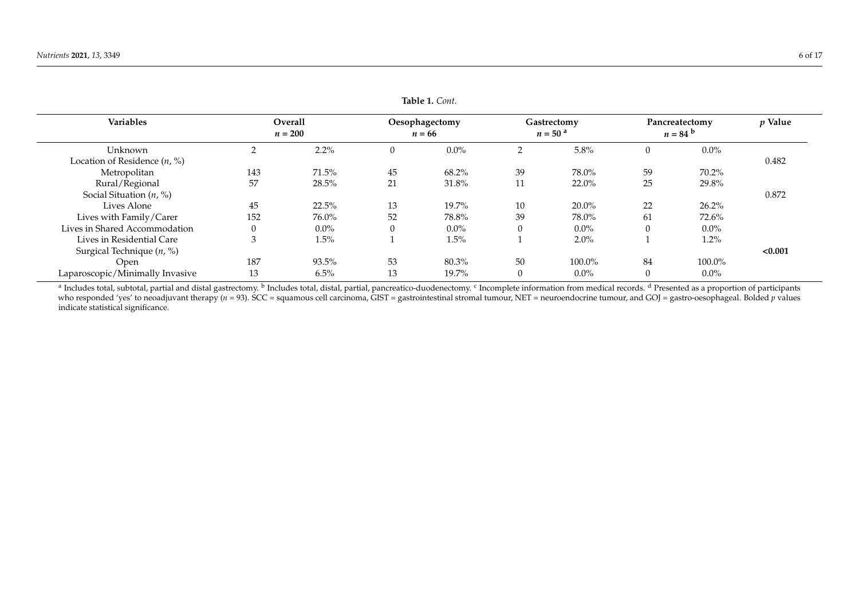| <b>Variables</b>                | <b>Overall</b> |           | Oesophagectomy |          | Gastrectomy    |                       | Pancreatectomy |                  | $p$ Value |
|---------------------------------|----------------|-----------|----------------|----------|----------------|-----------------------|----------------|------------------|-----------|
|                                 |                | $n = 200$ |                | $n = 66$ |                | $n = 50$ <sup>a</sup> |                | $n = 84^{\circ}$ |           |
| Unknown                         |                | $2.2\%$   |                | $0.0\%$  | $\overline{2}$ | 5.8%                  | $\theta$       | $0.0\%$          |           |
| Location of Residence $(n, %)$  |                |           |                |          |                |                       |                |                  | 0.482     |
| Metropolitan                    | 143            | 71.5%     | 45             | 68.2%    | 39             | 78.0%                 | 59             | 70.2%            |           |
| Rural/Regional                  | 57             | 28.5%     | 21             | 31.8%    | 11             | $22.0\%$              | 25             | 29.8%            |           |
| Social Situation $(n, %)$       |                |           |                |          |                |                       |                |                  | 0.872     |
| Lives Alone                     | 45             | 22.5%     | 13             | 19.7%    | 10             | $20.0\%$              | 22             | 26.2%            |           |
| Lives with Family/Carer         | 152            | 76.0%     | 52             | 78.8%    | 39             | 78.0%                 | 61             | 72.6%            |           |
| Lives in Shared Accommodation   |                | $0.0\%$   |                | $0.0\%$  | $\Omega$       | $0.0\%$               | 0              | $0.0\%$          |           |
| Lives in Residential Care       | 3              | $1.5\%$   |                | 1.5%     |                | 2.0%                  |                | 1.2%             |           |
| Surgical Technique $(n, %)$     |                |           |                |          |                |                       |                |                  | < 0.001   |
| Open                            | 187            | 93.5%     | 53             | 80.3%    | 50             | 100.0%                | 84             | 100.0%           |           |
| Laparoscopic/Minimally Invasive | 13             | 6.5%      | 13             | 19.7%    | $\overline{0}$ | $0.0\%$               | $\Omega$       | $0.0\%$          |           |

**Table 1.** *Cont.*

<sup>a</sup> Includes total, subtotal, partial and distal gastrectomy. <sup>b</sup> Includes total, distal, partial, pancreatico-duodenectomy. <sup>c</sup> Incomplete information from medical records. <sup>d</sup> Presented as a proportion of participants who responded 'yes' to neoadjuvant therapy (*n* = 93). SCC = squamous cell carcinoma, GIST = gastrointestinal stromal tumour, NET = neuroendocrine tumour, and GOJ = gastro-oesophageal. Bolded *p* values indicate statistical significance.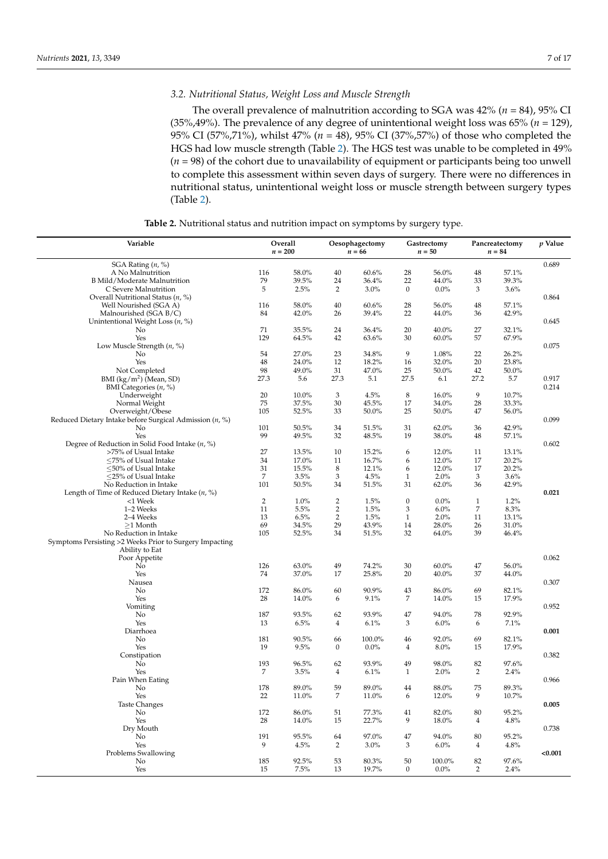## *3.2. Nutritional Status, Weight Loss and Muscle Strength*

The overall prevalence of malnutrition according to SGA was 42% (*n* = 84), 95% CI (35%,49%). The prevalence of any degree of unintentional weight loss was 65% (*n* = 129), 95% CI (57%,71%), whilst 47% (*n* = 48), 95% CI (37%,57%) of those who completed the HGS had low muscle strength (Table [2\)](#page-7-0). The HGS test was unable to be completed in 49% (*n* = 98) of the cohort due to unavailability of equipment or participants being too unwell to complete this assessment within seven days of surgery. There were no differences in nutritional status, unintentional weight loss or muscle strength between surgery types (Table [2\)](#page-7-0).

**Table 2.** Nutritional status and nutrition impact on symptoms by surgery type.

<span id="page-7-0"></span>

| Variable                                                  | Overall<br>$n=200$ |               | Oesophagectomy<br>$n = 66$ |               | Gastrectomy<br>$n=50$ |                  | Pancreatectomy<br>$n = 84$ |                | $p$ Value |
|-----------------------------------------------------------|--------------------|---------------|----------------------------|---------------|-----------------------|------------------|----------------------------|----------------|-----------|
|                                                           |                    |               |                            |               |                       |                  |                            |                |           |
| SGA Rating $(n, %)$                                       |                    |               |                            |               |                       |                  |                            |                | 0.689     |
| A No Malnutrition                                         | 116<br>79          | 58.0%         | 40                         | 60.6%         | 28<br>22              | 56.0%            | 48                         | 57.1%<br>39.3% |           |
| B Mild/Moderate Malnutrition<br>C Severe Malnutrition     | 5                  | 39.5%<br>2.5% | 24<br>2                    | 36.4%<br>3.0% | $\boldsymbol{0}$      | 44.0%<br>$0.0\%$ | 33<br>3                    | 3.6%           |           |
| Overall Nutritional Status $(n, %)$                       |                    |               |                            |               |                       |                  |                            |                | 0.864     |
| Well Nourished (SGA A)                                    | 116                | 58.0%         | 40                         | 60.6%         | 28                    | 56.0%            | 48                         | 57.1%          |           |
| Malnourished (SGA B/C)                                    | 84                 | 42.0%         | 26                         | 39.4%         | 22                    | 44.0%            | 36                         | 42.9%          |           |
| Unintentional Weight Loss $(n, %)$                        |                    |               |                            |               |                       |                  |                            |                | 0.645     |
| No                                                        | 71                 | 35.5%         | 24                         | 36.4%         | 20                    | 40.0%            | 27                         | 32.1%          |           |
| Yes                                                       | 129                | 64.5%         | 42                         | 63.6%         | 30                    | $60.0\%$         | 57                         | 67.9%          |           |
| Low Muscle Strength $(n, %)$                              |                    |               |                            |               |                       |                  |                            |                | 0.075     |
| No                                                        | 54                 | 27.0%         | 23                         | 34.8%         | 9                     | 1.08%            | 22                         | 26.2%          |           |
| Yes                                                       | 48                 | 24.0%         | 12                         | 18.2%         | 16                    | 32.0%            | 20                         | 23.8%          |           |
| Not Completed                                             | 98                 | 49.0%         | 31                         | 47.0%         | 25                    | 50.0%            | 42                         | 50.0%          |           |
| BMI $(kg/m2)$ (Mean, SD)                                  | 27.3               | 5.6           | 27.3                       | 5.1           | 27.5                  | 6.1              | 27.2                       | 5.7            | 0.917     |
| BMI Categories $(n, %)$                                   |                    |               |                            |               |                       |                  |                            |                | 0.214     |
| Underweight                                               | 20                 | 10.0%         | 3                          | 4.5%          | 8                     | 16.0%            | 9                          | 10.7%          |           |
| Normal Weight                                             | 75                 | 37.5%         | 30                         | 45.5%         | 17                    | 34.0%            | 28                         | 33.3%          |           |
| Overweight/Obese                                          | 105                | 52.5%         | 33                         | 50.0%         | 25                    | 50.0%            | 47                         | 56.0%          |           |
| Reduced Dietary Intake before Surgical Admission $(n, %)$ |                    |               |                            |               |                       |                  |                            |                | 0.099     |
| No                                                        | 101                | 50.5%         | 34                         | 51.5%         | 31                    | 62.0%            | 36                         | 42.9%          |           |
| Yes                                                       | 99                 | 49.5%         | 32                         | 48.5%         | 19                    | 38.0%            | 48                         | 57.1%          |           |
| Degree of Reduction in Solid Food Intake $(n, %)$         |                    |               |                            |               |                       |                  |                            |                | 0.602     |
| >75% of Usual Intake                                      | 27                 | 13.5%         | 10                         | 15.2%         | 6                     | 12.0%            | 11                         | 13.1%          |           |
| $\leq$ 75% of Usual Intake                                | 34                 | 17.0%         | 11                         | 16.7%         | 6                     | 12.0%            | 17                         | 20.2%          |           |
| $\leq$ 50% of Usual Intake                                | 31                 | 15.5%         | 8                          | 12.1%         | 6                     | 12.0%            | 17                         | 20.2%          |           |
| <25% of Usual Intake                                      | 7                  | 3.5%          | $\mathfrak{Z}$             | 4.5%          | 1                     | 2.0%             | 3                          | 3.6%           |           |
| No Reduction in Intake                                    | 101                | 50.5%         | 34                         | 51.5%         | 31                    | 62.0%            | 36                         | 42.9%          |           |
| Length of Time of Reduced Dietary Intake $(n, %)$         |                    |               |                            |               |                       |                  |                            |                | 0.021     |
| <1 Week                                                   | $\overline{2}$     | 1.0%          | $\overline{2}$             | 1.5%          | $\boldsymbol{0}$      | $0.0\%$          | $\mathbf{1}$               | 1.2%           |           |
| 1-2 Weeks                                                 | 11                 | 5.5%          | $\overline{2}$             | 1.5%          | 3                     | 6.0%             | 7                          | 8.3%           |           |
| 2-4 Weeks                                                 | 13                 | 6.5%          | $\overline{2}$             | 1.5%          | $\mathbf{1}$          | 2.0%             | 11                         | 13.1%          |           |
| $\geq$ 1 Month                                            | 69                 | 34.5%         | 29                         | 43.9%         | 14                    | 28.0%            | 26                         | 31.0%          |           |
| No Reduction in Intake                                    | 105                | 52.5%         | 34                         | 51.5%         | 32                    | 64.0%            | 39                         | 46.4%          |           |
| Symptoms Persisting >2 Weeks Prior to Surgery Impacting   |                    |               |                            |               |                       |                  |                            |                |           |
| Ability to Eat                                            |                    |               |                            |               |                       |                  |                            |                |           |
| Poor Appetite                                             |                    |               |                            |               |                       |                  |                            |                | 0.062     |
| No                                                        | 126                | 63.0%         | 49                         | 74.2%         | 30                    | $60.0\%$         | 47                         | 56.0%          |           |
| Yes                                                       | 74                 | 37.0%         | 17                         | 25.8%         | 20                    | 40.0%            | 37                         | 44.0%          |           |
| Nausea                                                    |                    |               |                            |               |                       |                  |                            |                | 0.307     |
| No                                                        | 172                | 86.0%         | 60                         | 90.9%         | 43                    | 86.0%            | 69                         | 82.1%          |           |
| Yes                                                       | 28                 | 14.0%         | 6                          | 9.1%          | 7                     | 14.0%            | 15                         | 17.9%          |           |
| Vomiting                                                  |                    |               |                            |               |                       |                  |                            |                | 0.952     |
| No                                                        | 187                | 93.5%         | 62                         | 93.9%         | 47                    | 94.0%            | 78                         | 92.9%          |           |
| Yes                                                       | 13                 | 6.5%          | $\overline{4}$             | 6.1%          | 3                     | 6.0%             | 6                          | 7.1%           |           |
| Diarrhoea                                                 |                    |               |                            |               |                       |                  |                            |                | 0.001     |
| No                                                        | 181                | 90.5%         | 66                         | 100.0%        | 46                    | 92.0%            | 69                         | 82.1%          |           |
| Yes                                                       | 19                 | 9.5%          | $\boldsymbol{0}$           | $0.0\%$       | 4                     | 8.0%             | 15                         | 17.9%          |           |
| Constipation                                              |                    |               |                            |               |                       |                  |                            |                | 0.382     |
| No                                                        | 193                | 96.5%         | 62                         | 93.9%         | 49                    | 98.0%            | 82                         | 97.6%          |           |
| Yes                                                       | 7                  | 3.5%          | 4                          | 6.1%          | 1                     | 2.0%             | 2                          | 2.4%           |           |
| Pain When Eating                                          |                    |               |                            |               |                       |                  |                            |                | 0.966     |
| No                                                        | 178                | 89.0%         | 59                         | 89.0%         | 44                    | 88.0%            | 75                         | 89.3%          |           |
| Yes                                                       | 22                 | 11.0%         | 7                          | 11.0%         | 6                     | 12.0%            | 9                          | 10.7%          |           |
| <b>Taste Changes</b>                                      |                    |               |                            |               |                       |                  |                            |                | 0.005     |
| No                                                        | 172                | 86.0%         | 51                         | 77.3%         | 41                    | 82.0%            | 80                         | 95.2%          |           |
| Yes                                                       | 28                 | 14.0%         | 15                         | 22.7%         | 9                     | 18.0%            | $\overline{4}$             | 4.8%           |           |
| Dry Mouth                                                 |                    |               |                            |               |                       |                  |                            |                | 0.738     |
| No                                                        | 191                | 95.5%         | 64                         | 97.0%         | 47                    | $94.0\%$         | 80                         | 95.2%          |           |
| Yes                                                       | 9                  | 4.5%          | 2                          | $3.0\%$       | 3                     | 6.0%             | $\overline{4}$             | 4.8%           |           |
| Problems Swallowing                                       |                    |               |                            |               |                       |                  |                            |                | < 0.001   |
| No                                                        | 185                | 92.5%         | 53                         | 80.3%         | 50                    | 100.0%           | 82                         | 97.6%          |           |
| Yes                                                       | 15                 | 7.5%          | 13                         | 19.7%         | $\boldsymbol{0}$      | $0.0\%$          | $\overline{2}$             | 2.4%           |           |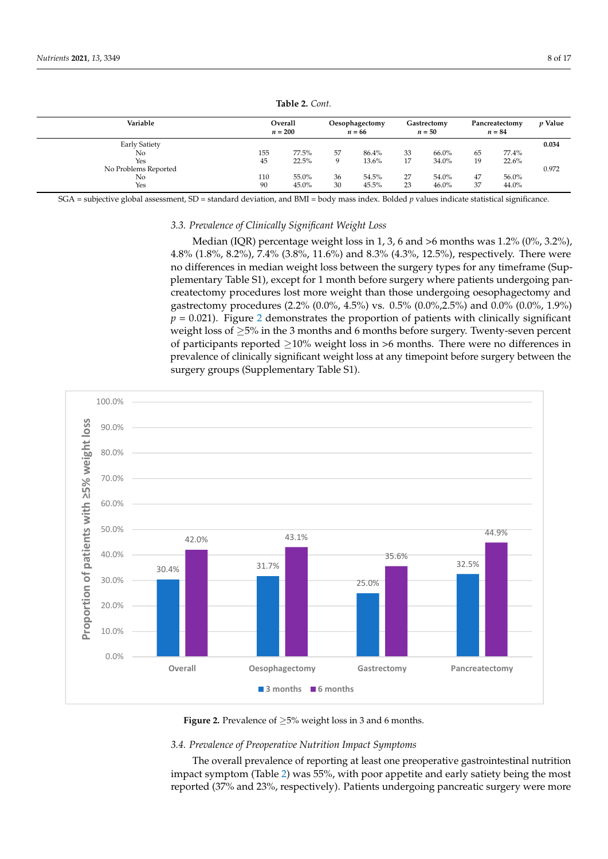| Variable             | Overall<br>$n = 200$ |       | Oesophagectomy<br>$n = 66$ |       | Gastrectomy<br>$n = 50$ |       | Pancreatectomy<br>$n = 84$ |       | <i>p</i> Value |
|----------------------|----------------------|-------|----------------------------|-------|-------------------------|-------|----------------------------|-------|----------------|
| <b>Early Satiety</b> |                      |       |                            |       |                         |       |                            |       | 0.034          |
| No                   | 155                  | 77.5% | 57                         | 86.4% | 33                      | 66.0% | 65                         | 77.4% |                |
| Yes                  | 45                   | 22.5% | Q                          | 13.6% | 17                      | 34.0% | 19                         | 22.6% |                |
| No Problems Reported |                      |       |                            |       |                         |       |                            |       | 0.972          |
| No                   | 110                  | 55.0% | 36                         | 54.5% | 27                      | 54.0% | 47                         | 56.0% |                |
| Yes                  | 90                   | 45.0% | 30                         | 45.5% | 23                      | 46.0% | 37                         | 44.0% |                |

**Table 2.** *Cont.*

SGA = subjective global assessment, SD = standard deviation, and BMI = body mass index. Bolded *p* values indicate statistical significance.

#### *3.3. Prevalence of Clinically Significant Weight Loss*

Median (IQR) percentage weight loss in 1, 3, 6 and >6 months was 1.2% (0%, 3.2%), 4.8% (1.8%, 8.2%), 7.4% (3.8%, 11.6%) and 8.3% (4.3%, 12.5%), respectively. There were no differences in median weight loss between the surgery types for any timeframe (Supplementary Table S1), except for 1 month before surgery where patients undergoing pancreatectomy procedures lost more weight than those undergoing oesophagectomy and gastrectomy procedures (2.2% (0.0%, 4.5%) vs. 0.5% (0.0%,2.5%) and 0.0% (0.0%, 1.9%)  $p = 0.021$ ). Figure 2 demonstrates the proportion of patients with clinically significant weight loss of ≥5% in the 3 months and 6 months before surgery. Twenty-seven percent of participants reported  $\geq$ 10% weight loss in >6 months. There were no differences in prevalence of clinically significant weight loss at any timepoint before surgery between the surgery groups (Supplementary Table S1). groups (Supplementary Table S1).

<span id="page-8-0"></span>

**Figure 2.** Prevalence of ≥5% weight loss in 3 and 6 months. **Figure 2.** Prevalence of ≥5% weight loss in 3 and 6 months.

## *3.4. Prevalence of Preoperative Nutrition Impact Symptoms 3.4. Prevalence of Preoperative Nutrition Impact Symptoms*

The overall prevalence of reporting at least one preoperative gastrointestinal nutrition impact symptom (Table [2\)](#page-7-0) was 55%, with poor appetite and early satiety being the most reported (37% and 23%, respectively). Patients undergoing pancreatic surgery were more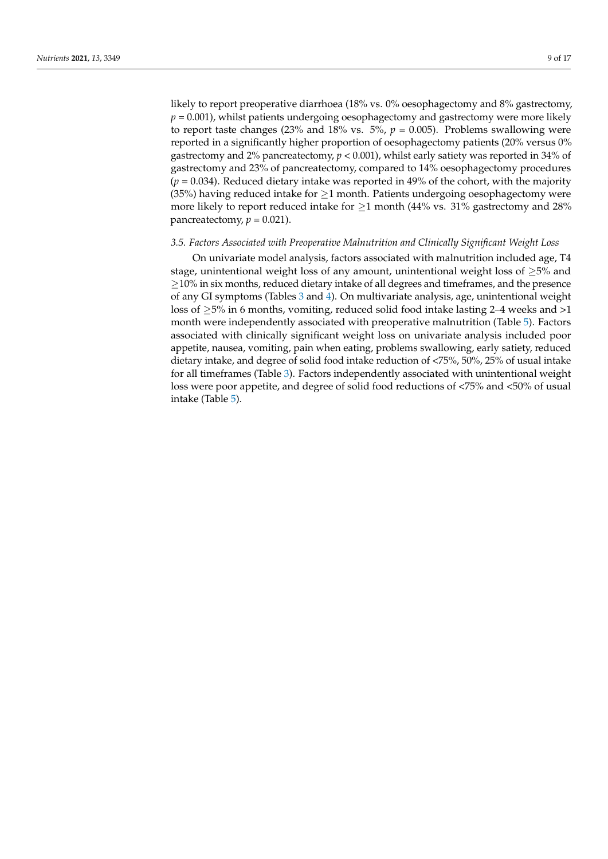likely to report preoperative diarrhoea (18% vs. 0% oesophagectomy and 8% gastrectomy,  $p = 0.001$ , whilst patients undergoing oesophagectomy and gastrectomy were more likely to report taste changes (23% and 18% vs.  $5\%$ ,  $p = 0.005$ ). Problems swallowing were reported in a significantly higher proportion of oesophagectomy patients (20% versus 0% gastrectomy and 2% pancreatectomy, *p* < 0.001), whilst early satiety was reported in 34% of gastrectomy and 23% of pancreatectomy, compared to 14% oesophagectomy procedures  $(p = 0.034)$ . Reduced dietary intake was reported in 49% of the cohort, with the majority (35%) having reduced intake for  $\geq$ 1 month. Patients undergoing oesophagectomy were more likely to report reduced intake for  $\geq$ 1 month (44% vs. 31% gastrectomy and 28%) pancreatectomy,  $p = 0.021$ ).

#### *3.5. Factors Associated with Preoperative Malnutrition and Clinically Significant Weight Loss*

On univariate model analysis, factors associated with malnutrition included age, T4 stage, unintentional weight loss of any amount, unintentional weight loss of  $\geq 5\%$  and ≥10% in six months, reduced dietary intake of all degrees and timeframes, and the presence of any GI symptoms (Tables [3](#page-10-0) and [4\)](#page-11-0). On multivariate analysis, age, unintentional weight loss of  $\geq$ 5% in 6 months, vomiting, reduced solid food intake lasting 2–4 weeks and >1 month were independently associated with preoperative malnutrition (Table [5\)](#page-12-0). Factors associated with clinically significant weight loss on univariate analysis included poor appetite, nausea, vomiting, pain when eating, problems swallowing, early satiety, reduced dietary intake, and degree of solid food intake reduction of <75%, 50%, 25% of usual intake for all timeframes (Table [3\)](#page-10-0). Factors independently associated with unintentional weight loss were poor appetite, and degree of solid food reductions of <75% and <50% of usual intake (Table [5\)](#page-12-0).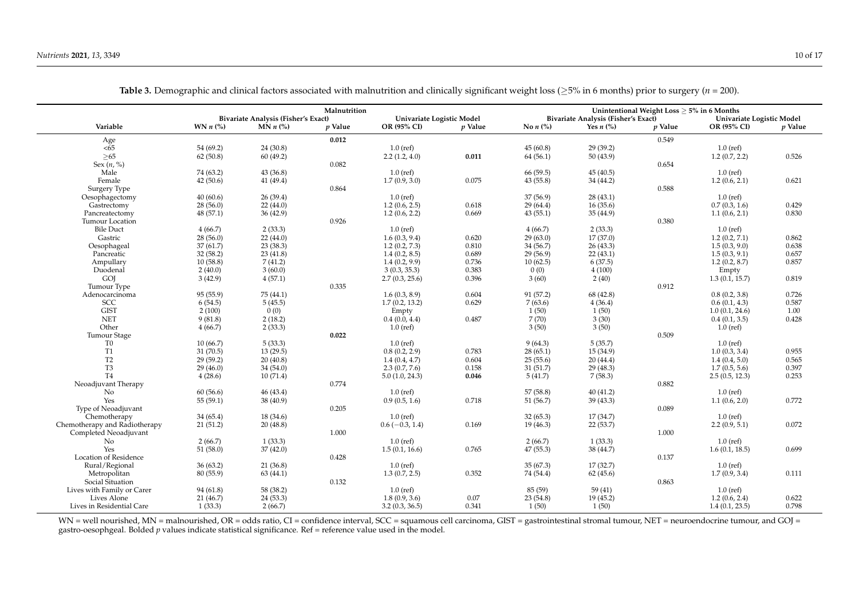|                                | Malnutrition      |                                     |         |                           |                | Unintentional Weight Loss $\geq$ 5% in 6 Months |                                     |                |                           |                |  |  |  |
|--------------------------------|-------------------|-------------------------------------|---------|---------------------------|----------------|-------------------------------------------------|-------------------------------------|----------------|---------------------------|----------------|--|--|--|
|                                |                   | Bivariate Analysis (Fisher's Exact) |         | Univariate Logistic Model |                |                                                 | Bivariate Analysis (Fisher's Exact) |                | Univariate Logistic Model |                |  |  |  |
| Variable                       | WN $n$ (%)        | $MN n$ (%)                          | p Value | OR (95% CI)               | <i>v</i> Value | No $n$ $\left(\frac{9}{6}\right)$               | Yes $n$ $\left(\% \right)$          | <i>p</i> Value | OR (95% CI)               | <i>v</i> Value |  |  |  |
| Age                            |                   |                                     | 0.012   |                           |                |                                                 |                                     | 0.549          |                           |                |  |  |  |
| < 65                           | 54(69.2)          | 24 (30.8)                           |         | $1.0$ (ref)               |                | 45(60.8)                                        | 29(39.2)                            |                | $1.0$ (ref)               |                |  |  |  |
| $>65$                          | 62(50.8)          | 60(49.2)                            |         | 2.2(1.2, 4.0)             | 0.011          | 64(56.1)                                        | 50(43.9)                            |                | 1.2(0.7, 2.2)             | 0.526          |  |  |  |
| Sex $(n, \%)$                  |                   |                                     | 0.082   |                           |                |                                                 |                                     | 0.654          |                           |                |  |  |  |
| Male                           | 74 (63.2)         | 43 (36.8)                           |         | $1.0$ (ref)               |                | 66 (59.5)                                       | 45(40.5)                            |                | $1.0$ (ref)               |                |  |  |  |
| Female                         | 42(50.6)          | 41 (49.4)                           |         | 1.7(0.9, 3.0)             | 0.075          | 43(55.8)                                        | 34 (44.2)                           |                | 1.2(0.6, 2.1)             | 0.621          |  |  |  |
| Surgery Type                   |                   |                                     | 0.864   |                           |                |                                                 |                                     | 0.588          |                           |                |  |  |  |
| Oesophagectomy                 | 40(60.6)          | 26(39.4)                            |         | $1.0$ (ref)               |                | 37(56.9)                                        | 28(43.1)                            |                | $1.0$ (ref)               |                |  |  |  |
| Gastrectomy                    | 28(56.0)          | 22(44.0)                            |         | 1.2(0.6, 2.5)             | 0.618          | 29(64.4)                                        | 16(35.6)                            |                | 0.7(0.3, 1.6)             | 0.429          |  |  |  |
| Pancreatectomy                 | 48(57.1)          | 36(42.9)                            |         | 1.2(0.6, 2.2)             | 0.669          | 43(55.1)                                        | 35(44.9)                            |                | 1.1(0.6, 2.1)             | 0.830          |  |  |  |
| Tumour Location                |                   |                                     | 0.926   |                           |                |                                                 |                                     | 0.380          |                           |                |  |  |  |
| <b>Bile Duct</b>               | 4(66.7)           | 2(33.3)                             |         | $1.0$ (ref)               |                | 4(66.7)                                         | 2(33.3)                             |                | $1.0$ (ref)               |                |  |  |  |
| Gastric                        | 28(56.0)          | 22(44.0)                            |         | 1.6(0.3, 9.4)             | 0.620          | 29(63.0)                                        | 17(37.0)                            |                | 1.2(0.2, 7.1)             | 0.862          |  |  |  |
| Oesophageal                    | 37(61.7)          | 23(38.3)                            |         | 1.2(0.2, 7.3)             | 0.810          | 34(56.7)                                        | 26(43.3)                            |                | 1.5(0.3, 9.0)             | 0.638          |  |  |  |
| Pancreatic                     | 32(58.2)          | 23(41.8)                            |         | 1.4(0.2, 8.5)             | 0.689          | 29(56.9)                                        | 22(43.1)                            |                | 1.5(0.3, 9.1)             | 0.657          |  |  |  |
| Ampullary                      | 10(58.8)          | 7(41.2)                             |         | 1.4(0.2, 9.9)             | 0.736          | 10(62.5)                                        | 6(37.5)                             |                | 1.2(0.2, 8.7)             | 0.857          |  |  |  |
| Duodenal                       | 2(40.0)           | 3(60.0)                             |         | 3(0.3, 35.3)              | 0.383          | 0(0)                                            | 4(100)                              |                |                           |                |  |  |  |
| GOJ                            | 3(42.9)           | 4(57.1)                             |         | 2.7(0.3, 25.6)            | 0.396          | 3(60)                                           | 2(40)                               |                | Empty<br>1.3(0.1, 15.7)   | 0.819          |  |  |  |
| Tumour Type                    |                   |                                     | 0.335   |                           |                |                                                 |                                     | 0.912          |                           |                |  |  |  |
|                                | 95 (55.9)         | 75 (44.1)                           |         | 1.6(0.3, 8.9)             | 0.604          | 91 (57.2)                                       | 68 (42.8)                           |                | 0.8(0.2, 3.8)             | 0.726          |  |  |  |
| Adenocarcinoma                 |                   |                                     |         |                           | 0.629          |                                                 |                                     |                |                           | 0.587          |  |  |  |
| <b>SCC</b><br><b>GIST</b>      | 6(54.5)<br>2(100) | 5(45.5)                             |         | 1.7(0.2, 13.2)            |                | 7(63.6)<br>1(50)                                | 4(36.4)<br>1(50)                    |                | 0.6(0.1, 4.3)             | 1.00           |  |  |  |
| <b>NET</b>                     |                   | 0(0)                                |         | Empty                     | 0.487          | 7(70)                                           | 3(30)                               |                | 1.0(0.1, 24.6)            | 0.428          |  |  |  |
| Other                          | 9(81.8)           | 2(18.2)                             |         | 0.4(0.0, 4.4)             |                | 3(50)                                           |                                     |                | 0.4(0.1, 3.5)             |                |  |  |  |
|                                | 4(66.7)           | 2(33.3)                             |         | $1.0$ (ref)               |                |                                                 | 3(50)                               |                | $1.0$ (ref)               |                |  |  |  |
| Tumour Stage<br>T <sub>0</sub> |                   |                                     | 0.022   |                           |                |                                                 | 5(35.7)                             | 0.509          |                           |                |  |  |  |
| T <sub>1</sub>                 | 10(66.7)          | 5(33.3)                             |         | $1.0$ (ref)               | 0.783          | 9(64.3)                                         |                                     |                | $1.0$ (ref)               | 0.955          |  |  |  |
| T <sub>2</sub>                 | 31 (70.5)         | 13(29.5)                            |         | 0.8(0.2, 2.9)             |                | 28(65.1)                                        | 15 (34.9)                           |                | 1.0(0.3, 3.4)             |                |  |  |  |
| T <sub>3</sub>                 | 29(59.2)          | 20(40.8)                            |         | 1.4(0.4, 4.7)             | 0.604          | 25(55.6)                                        | 20(44.4)                            |                | 1.4(0.4, 5.0)             | 0.565          |  |  |  |
|                                | 29(46.0)          | 34(54.0)                            |         | 2.3(0.7, 7.6)             | 0.158          | 31(51.7)                                        | 29(48.3)                            |                | 1.7(0.5, 5.6)             | 0.397          |  |  |  |
| T <sub>4</sub>                 | 4(28.6)           | 10(71.4)                            |         | 5.0(1.0, 24.3)            | 0.046          | 5(41.7)                                         | 7(58.3)                             |                | 2.5(0.5, 12.3)            | 0.253          |  |  |  |
| Neoadjuvant Therapy            |                   |                                     | 0.774   |                           |                |                                                 |                                     | 0.882          |                           |                |  |  |  |
| No                             | 60(56.6)          | 46 (43.4)                           |         | $1.0$ (ref)               |                | 57 (58.8)                                       | 40(41.2)                            |                | $1.0$ (ref)               |                |  |  |  |
| Yes                            | 55(59.1)          | 38 (40.9)                           |         | 0.9(0.5, 1.6)             | 0.718          | 51(56.7)                                        | 39(43.3)                            |                | 1.1(0.6, 2.0)             | 0.772          |  |  |  |
| Type of Neoadjuvant            |                   |                                     | 0.205   |                           |                |                                                 |                                     | 0.089          |                           |                |  |  |  |
| Chemotherapy                   | 34(65.4)          | 18 (34.6)                           |         | $1.0$ (ref)               |                | 32(65.3)                                        | 17(34.7)                            |                | $1.0$ (ref)               |                |  |  |  |
| Chemotherapy and Radiotherapy  | 21(51.2)          | 20(48.8)                            |         | $0.6(-0.3, 1.4)$          | 0.169          | 19 (46.3)                                       | 22(53.7)                            |                | 2.2(0.9, 5.1)             | 0.072          |  |  |  |
| Completed Neoadjuvant          |                   |                                     | 1.000   |                           |                |                                                 |                                     | 1.000          |                           |                |  |  |  |
| No                             | 2(66.7)           | 1(33.3)                             |         | $1.0$ (ref)               |                | 2(66.7)                                         | 1(33.3)                             |                | $1.0$ (ref)               |                |  |  |  |
| Yes                            | 51(58.0)          | 37(42.0)                            |         | 1.5(0.1, 16.6)            | 0.765          | 47(55.3)                                        | 38 (44.7)                           |                | 1.6(0.1, 18.5)            | 0.699          |  |  |  |
| <b>Location of Residence</b>   |                   |                                     | 0.428   |                           |                |                                                 |                                     | 0.137          |                           |                |  |  |  |
| Rural/Regional                 | 36(63.2)          | 21(36.8)                            |         | $1.0$ (ref)               |                | 35(67.3)                                        | 17(32.7)                            |                | $1.0$ (ref)               |                |  |  |  |
| Metropolitan                   | 80(55.9)          | 63(44.1)                            |         | 1.3(0.7, 2.5)             | 0.352          | 74 (54.4)                                       | 62(45.6)                            |                | 1.7(0.9, 3.4)             | 0.111          |  |  |  |
| Social Situation               |                   |                                     | 0.132   |                           |                |                                                 |                                     | 0.863          |                           |                |  |  |  |
| Lives with Family or Carer     | 94(61.8)          | 58 (38.2)                           |         | $1.0$ (ref)               |                | 85 (59)                                         | 59(41)                              |                | $1.0$ (ref)               |                |  |  |  |
| Lives Alone                    | 21(46.7)          | 24 (53.3)                           |         | 1.8(0.9, 3.6)             | 0.07           | 23(54.8)                                        | 19(45.2)                            |                | 1.2(0.6, 2.4)             | 0.622          |  |  |  |
| Lives in Residential Care      | 1(33.3)           | 2(66.7)                             |         | 3.2(0.3, 36.5)            | 0.341          | 1(50)                                           | 1(50)                               |                | 1.4(0.1, 23.5)            | 0.798          |  |  |  |

**Table 3.** Demographic and clinical factors associated with malnutrition and clinically significant weight loss ( $\geq$ 5% in 6 months) prior to surgery (*n* = 200).

<span id="page-10-0"></span>WN = well nourished, MN = malnourished, OR = odds ratio, CI = confidence interval, SCC = squamous cell carcinoma, GIST = gastrointestinal stromal tumour, NET = neuroendocrine tumour, and GOJ = gastro-oesophgeal. Bolded *p* values indicate statistical significance. Ref = reference value used in the model.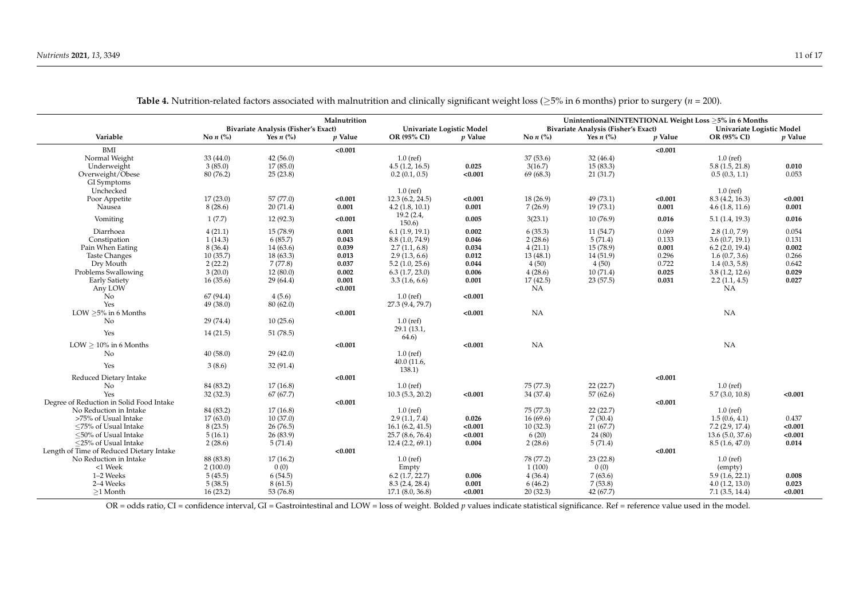|                                          | Malnutrition<br><b>Bivariate Analysis (Fisher's Exact)</b><br>Univariate Logistic Model |             |           |                    |           | UnintentionalNINTENTIONAL Weight Loss > 5% in 6 Months<br>Bivariate Analysis (Fisher's Exact)<br>Univariate Logistic Model |                                    |           |                   |           |  |  |
|------------------------------------------|-----------------------------------------------------------------------------------------|-------------|-----------|--------------------|-----------|----------------------------------------------------------------------------------------------------------------------------|------------------------------------|-----------|-------------------|-----------|--|--|
| Variable                                 | No $n$ $\left(\frac{9}{6}\right)$                                                       | Yes $n$ (%) | $p$ Value | OR (95% CI)        | $p$ Value | No $n$ (%)                                                                                                                 | Yes $n$ $\left(\frac{9}{6}\right)$ | $p$ Value | OR (95% CI)       | $p$ Value |  |  |
|                                          |                                                                                         |             |           |                    |           |                                                                                                                            |                                    |           |                   |           |  |  |
| BMI                                      |                                                                                         |             | < 0.001   |                    |           |                                                                                                                            |                                    | < 0.001   |                   |           |  |  |
| Normal Weight                            | 33(44.0)                                                                                | 42(56.0)    |           | $1.0$ (ref)        |           | 37(53.6)                                                                                                                   | 32(46.4)                           |           | $1.0$ (ref)       |           |  |  |
| Underweight                              | 3(85.0)                                                                                 | 17(85.0)    |           | 4.5(1.2, 16.5)     | 0.025     | 3(16.7)                                                                                                                    | 15(83.3)                           |           | 5.8(1.5, 21.8)    | 0.010     |  |  |
| Overweight/Obese                         | 80 (76.2)                                                                               | 25(23.8)    |           | 0.2(0.1, 0.5)      | < 0.001   | 69 (68.3)                                                                                                                  | 21(31.7)                           |           | 0.5(0.3, 1.1)     | 0.053     |  |  |
| GI Symptoms                              |                                                                                         |             |           |                    |           |                                                                                                                            |                                    |           |                   |           |  |  |
| Unchecked                                |                                                                                         |             |           | $1.0$ (ref)        |           |                                                                                                                            |                                    |           | $1.0$ (ref)       |           |  |  |
| Poor Appetite                            | 17(23.0)                                                                                | 57 (77.0)   | < 0.001   | 12.3(6.2, 24.5)    | < 0.001   | 18(26.9)                                                                                                                   | 49 (73.1)                          | < 0.001   | 8.3 (4.2, 16.3)   | < 0.001   |  |  |
| Nausea                                   | 8(28.6)                                                                                 | 20(71.4)    | 0.001     | 4.2(1.8, 10.1)     | 0.001     | 7(26.9)                                                                                                                    | 19(73.1)                           | 0.001     | 4.6(1.8, 11.6)    | 0.001     |  |  |
| Vomiting                                 | 1(7.7)                                                                                  | 12(92.3)    | < 0.001   | 19.2(2.4,          | 0.005     | 3(23.1)                                                                                                                    | 10(76.9)                           | 0.016     | 5.1(1.4, 19.3)    | 0.016     |  |  |
|                                          |                                                                                         |             |           | 150.6)             |           |                                                                                                                            |                                    |           |                   |           |  |  |
| Diarrhoea                                | 4(21.1)                                                                                 | 15(78.9)    | 0.001     | 6.1(1.9, 19.1)     | 0.002     | 6(35.3)                                                                                                                    | 11(54.7)                           | 0.069     | 2.8(1.0, 7.9)     | 0.054     |  |  |
| Constipation                             | 1(14.3)                                                                                 | 6(85.7)     | 0.043     | 8.8(1.0, 74.9)     | 0.046     | 2(28.6)                                                                                                                    | 5(71.4)                            | 0.133     | 3.6(0.7, 19.1)    | 0.131     |  |  |
| Pain When Eating                         | 8(36.4)                                                                                 | 14(63.6)    | 0.039     | 2.7(1.1, 6.8)      | 0.034     | 4(21.1)                                                                                                                    | 15(78.9)                           | 0.001     | $6.2$ (2.0, 19.4) | 0.002     |  |  |
| <b>Taste Changes</b>                     | 10(35.7)                                                                                | 18(63.3)    | 0.013     | 2.9(1.3, 6.6)      | 0.012     | 13(48.1)                                                                                                                   | 14(51.9)                           | 0.296     | 1.6(0.7, 3.6)     | 0.266     |  |  |
| Dry Mouth                                | 2(22.2)                                                                                 | 7(77.8)     | 0.037     | 5.2(1.0, 25.6)     | 0.044     | 4(50)                                                                                                                      | 4(50)                              | 0.722     | 1.4(0.3, 5.8)     | 0.642     |  |  |
| Problems Swallowing                      | 3(20.0)                                                                                 | 12(80.0)    | 0.002     | 6.3(1.7, 23.0)     | 0.006     | 4(28.6)                                                                                                                    | 10(71.4)                           | 0.025     | 3.8(1.2, 12.6)    | 0.029     |  |  |
| <b>Early Satiety</b>                     | 16(35.6)                                                                                | 29(64.4)    | 0.001     | 3.3(1.6, 6.6)      | 0.001     | 17(42.5)                                                                                                                   | 23(57.5)                           | 0.031     | 2.2(1.1, 4.5)     | 0.027     |  |  |
| Any LOW                                  |                                                                                         |             | < 0.001   |                    |           | NA                                                                                                                         |                                    |           | NA                |           |  |  |
| N <sub>o</sub>                           | 67 (94.4)                                                                               | 4(5.6)      |           | $1.0$ (ref)        | < 0.001   |                                                                                                                            |                                    |           |                   |           |  |  |
| Yes                                      | 49 (38.0)                                                                               | 80(62.0)    |           | 27.3 (9.4, 79.7)   |           |                                                                                                                            |                                    |           |                   |           |  |  |
| LOW $\geq$ 5% in 6 Months                |                                                                                         |             | < 0.001   |                    | < 0.001   | NA                                                                                                                         |                                    |           | NA                |           |  |  |
| No                                       | 29(74.4)                                                                                | 10(25.6)    |           | $1.0$ (ref)        |           |                                                                                                                            |                                    |           |                   |           |  |  |
| Yes                                      | 14(21.5)                                                                                | 51(78.5)    |           | 29.1 (13.1,        |           |                                                                                                                            |                                    |           |                   |           |  |  |
|                                          |                                                                                         |             |           | 64.6)              |           |                                                                                                                            |                                    |           |                   |           |  |  |
| LOW $\geq 10\%$ in 6 Months              |                                                                                         |             | < 0.001   |                    | < 0.001   | NA                                                                                                                         |                                    |           | NA                |           |  |  |
| No                                       | 40(58.0)                                                                                | 29(42.0)    |           | $1.0$ (ref)        |           |                                                                                                                            |                                    |           |                   |           |  |  |
| Yes                                      | 3(8.6)                                                                                  | 32(91.4)    |           | 40.0 (11.6,        |           |                                                                                                                            |                                    |           |                   |           |  |  |
|                                          |                                                                                         |             |           | 138.1)             |           |                                                                                                                            |                                    |           |                   |           |  |  |
| Reduced Dietary Intake                   |                                                                                         |             | < 0.001   |                    |           |                                                                                                                            |                                    | < 0.001   |                   |           |  |  |
| No                                       | 84 (83.2)                                                                               | 17(16.8)    |           | $1.0$ (ref)        |           | 75 (77.3)                                                                                                                  | 22(22.7)                           |           | $1.0$ (ref)       |           |  |  |
| Yes                                      | 32(32.3)                                                                                | 67(67.7)    |           | $10.3$ (5.3, 20.2) | < 0.001   | 34 (37.4)                                                                                                                  | 57(62.6)                           |           | 5.7(3.0, 10.8)    | < 0.001   |  |  |
| Degree of Reduction in Solid Food Intake |                                                                                         |             | < 0.001   |                    |           |                                                                                                                            |                                    | < 0.001   |                   |           |  |  |
| No Reduction in Intake                   | 84 (83.2)                                                                               | 17(16.8)    |           | $1.0$ (ref)        |           | 75 (77.3)                                                                                                                  | 22(22.7)                           |           | $1.0$ (ref)       |           |  |  |
| >75% of Usual Intake                     | 17(63.0)                                                                                | 10(37.0)    |           | 2.9(1.1, 7.4)      | 0.026     | 16(69.6)                                                                                                                   | 7(30.4)                            |           | 1.5(0.6, 4.1)     | 0.437     |  |  |
| ≤75% of Usual Intake                     | 8(23.5)                                                                                 | 26(76.5)    |           | 16.1(6.2, 41.5)    | < 0.001   | 10(32.3)                                                                                                                   | 21(67.7)                           |           | $7.2$ (2.9, 17.4) | < 0.001   |  |  |
| <50% of Usual Intake                     | 5(16.1)                                                                                 | 26(83.9)    |           | 25.7 (8.6, 76.4)   | < 0.001   | 6(20)                                                                                                                      | 24 (80)                            |           | 13.6(5.0, 37.6)   | < 0.001   |  |  |
| $\leq$ 25% of Usual Intake               | 2(28.6)                                                                                 | 5(71.4)     |           | 12.4(2.2, 69.1)    | 0.004     | 2(28.6)                                                                                                                    | 5(71.4)                            |           | 8.5(1.6, 47.0)    | 0.014     |  |  |
| Length of Time of Reduced Dietary Intake |                                                                                         |             | < 0.001   |                    |           |                                                                                                                            |                                    | < 0.001   |                   |           |  |  |
| No Reduction in Intake                   | 88 (83.8)                                                                               | 17(16.2)    |           | $1.0$ (ref)        |           | 78 (77.2)                                                                                                                  | 23(22.8)                           |           | $1.0$ (ref)       |           |  |  |
| $<1$ Week                                | 2(100.0)                                                                                | 0(0)        |           | Empty              |           | 1(100)                                                                                                                     | 0(0)                               |           | (empty)           |           |  |  |
| 1-2 Weeks                                | 5(45.5)                                                                                 | 6(54.5)     |           | 6.2(1.7, 22.7)     | 0.006     | 4(36.4)                                                                                                                    | 7(63.6)                            |           | 5.9(1.6, 22.1)    | 0.008     |  |  |
| 2-4 Weeks                                | 5(38.5)                                                                                 | 8(61.5)     |           | 8.3(2.4, 28.4)     | 0.001     | 6(46.2)                                                                                                                    | 7(53.8)                            |           | 4.0(1.2, 13.0)    | 0.023     |  |  |
| $>1$ Month                               | 16(23.2)                                                                                | 53 (76.8)   |           | 17.1 (8.0, 36.8)   | < 0.001   | 20(32.3)                                                                                                                   | 42 (67.7)                          |           | 7.1(3.5, 14.4)    | < 0.001   |  |  |

**Table 4.** Nutrition-related factors associated with malnutrition and clinically significant weight loss ( $\geq$ 5% in 6 months) prior to surgery (*n* = 200).

<span id="page-11-0"></span>OR = odds ratio, CI = confidence interval, GI = Gastrointestinal and LOW = loss of weight. Bolded *p* values indicate statistical significance. Ref = reference value used in the model.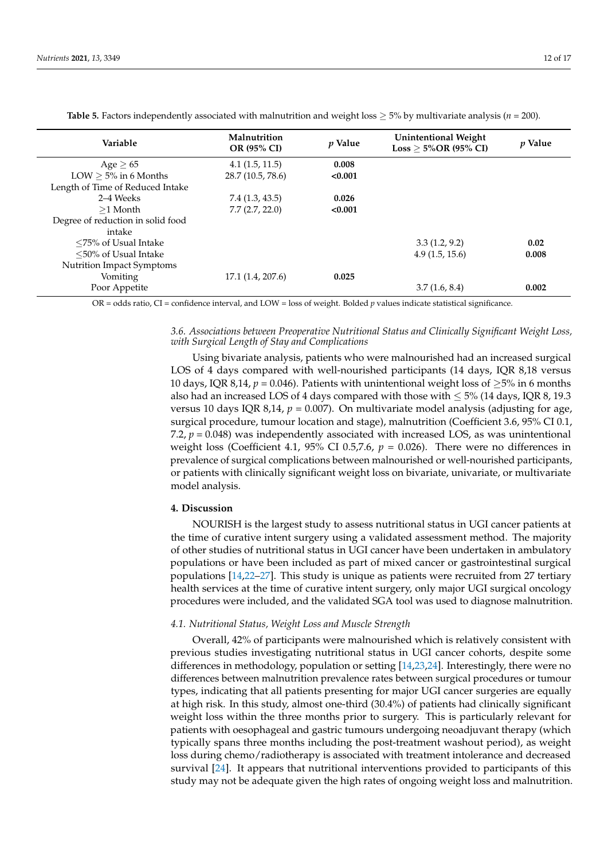<span id="page-12-0"></span>

| Variable                          | Malnutrition<br><b>OR (95% CI)</b> | <i>p</i> Value | <b>Unintentional Weight</b><br>$Loss \geq 5\%OR$ (95% CI) | <i>p</i> Value |
|-----------------------------------|------------------------------------|----------------|-----------------------------------------------------------|----------------|
| Age > 65                          | 4.1(1.5, 11.5)                     | 0.008          |                                                           |                |
| LOW $\geq$ 5% in 6 Months         | 28.7 (10.5, 78.6)                  | < 0.001        |                                                           |                |
| Length of Time of Reduced Intake  |                                    |                |                                                           |                |
| 2–4 Weeks                         | 7.4 (1.3, 43.5)                    | 0.026          |                                                           |                |
| $>1$ Month                        | 7.7(2.7, 22.0)                     | < 0.001        |                                                           |                |
| Degree of reduction in solid food |                                    |                |                                                           |                |
| intake                            |                                    |                |                                                           |                |
| $\leq$ 75% of Usual Intake        |                                    |                | 3.3(1.2, 9.2)                                             | 0.02           |
| $\leq$ 50% of Usual Intake        |                                    |                | 4.9(1.5, 15.6)                                            | 0.008          |
| Nutrition Impact Symptoms         |                                    |                |                                                           |                |
| Vomiting                          | 17.1 (1.4, 207.6)                  | 0.025          |                                                           |                |
| Poor Appetite                     |                                    |                | 3.7(1.6, 8.4)                                             | 0.002          |

**Table 5.** Factors independently associated with malnutrition and weight loss  $\geq$  5% by multivariate analysis ( $n = 200$ ).

OR = odds ratio, CI = confidence interval, and LOW = loss of weight. Bolded *p* values indicate statistical significance.

## *3.6. Associations between Preoperative Nutritional Status and Clinically Significant Weight Loss, with Surgical Length of Stay and Complications*

Using bivariate analysis, patients who were malnourished had an increased surgical LOS of 4 days compared with well-nourished participants (14 days, IQR 8,18 versus 10 days, IQR 8,14,  $p = 0.046$ ). Patients with unintentional weight loss of  $\geq 5\%$  in 6 months also had an increased LOS of 4 days compared with those with  $\leq$  5% (14 days, IQR 8, 19.3 versus 10 days IQR 8,14,  $p = 0.007$ ). On multivariate model analysis (adjusting for age, surgical procedure, tumour location and stage), malnutrition (Coefficient 3.6, 95% CI 0.1, 7.2,  $p = 0.048$ ) was independently associated with increased LOS, as was unintentional weight loss (Coefficient 4.1, 95% CI 0.5,7.6,  $p = 0.026$ ). There were no differences in prevalence of surgical complications between malnourished or well-nourished participants, or patients with clinically significant weight loss on bivariate, univariate, or multivariate model analysis.

### **4. Discussion**

NOURISH is the largest study to assess nutritional status in UGI cancer patients at the time of curative intent surgery using a validated assessment method. The majority of other studies of nutritional status in UGI cancer have been undertaken in ambulatory populations or have been included as part of mixed cancer or gastrointestinal surgical populations [\[14,](#page-16-12)[22–](#page-16-13)[27\]](#page-16-14). This study is unique as patients were recruited from 27 tertiary health services at the time of curative intent surgery, only major UGI surgical oncology procedures were included, and the validated SGA tool was used to diagnose malnutrition.

#### *4.1. Nutritional Status, Weight Loss and Muscle Strength*

Overall, 42% of participants were malnourished which is relatively consistent with previous studies investigating nutritional status in UGI cancer cohorts, despite some differences in methodology, population or setting [\[14,](#page-16-12)[23,](#page-16-15)[24\]](#page-16-16). Interestingly, there were no differences between malnutrition prevalence rates between surgical procedures or tumour types, indicating that all patients presenting for major UGI cancer surgeries are equally at high risk. In this study, almost one-third (30.4%) of patients had clinically significant weight loss within the three months prior to surgery. This is particularly relevant for patients with oesophageal and gastric tumours undergoing neoadjuvant therapy (which typically spans three months including the post-treatment washout period), as weight loss during chemo/radiotherapy is associated with treatment intolerance and decreased survival [\[24\]](#page-16-16). It appears that nutritional interventions provided to participants of this study may not be adequate given the high rates of ongoing weight loss and malnutrition.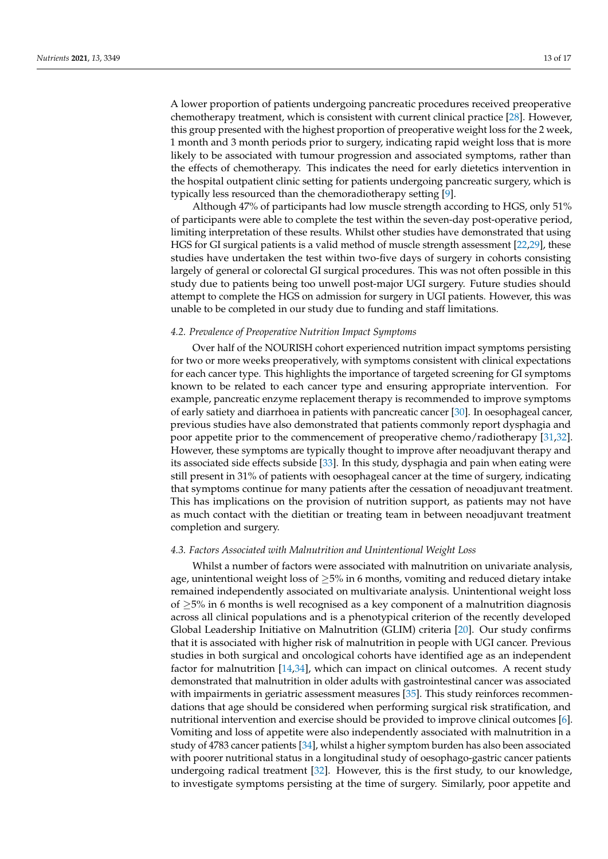A lower proportion of patients undergoing pancreatic procedures received preoperative chemotherapy treatment, which is consistent with current clinical practice [\[28\]](#page-16-17). However, this group presented with the highest proportion of preoperative weight loss for the 2 week, 1 month and 3 month periods prior to surgery, indicating rapid weight loss that is more likely to be associated with tumour progression and associated symptoms, rather than the effects of chemotherapy. This indicates the need for early dietetics intervention in the hospital outpatient clinic setting for patients undergoing pancreatic surgery, which is typically less resourced than the chemoradiotherapy setting [\[9\]](#page-16-0).

Although 47% of participants had low muscle strength according to HGS, only 51% of participants were able to complete the test within the seven-day post-operative period, limiting interpretation of these results. Whilst other studies have demonstrated that using HGS for GI surgical patients is a valid method of muscle strength assessment [\[22,](#page-16-13)[29\]](#page-16-18), these studies have undertaken the test within two-five days of surgery in cohorts consisting largely of general or colorectal GI surgical procedures. This was not often possible in this study due to patients being too unwell post-major UGI surgery. Future studies should attempt to complete the HGS on admission for surgery in UGI patients. However, this was unable to be completed in our study due to funding and staff limitations.

#### *4.2. Prevalence of Preoperative Nutrition Impact Symptoms*

Over half of the NOURISH cohort experienced nutrition impact symptoms persisting for two or more weeks preoperatively, with symptoms consistent with clinical expectations for each cancer type. This highlights the importance of targeted screening for GI symptoms known to be related to each cancer type and ensuring appropriate intervention. For example, pancreatic enzyme replacement therapy is recommended to improve symptoms of early satiety and diarrhoea in patients with pancreatic cancer [\[30\]](#page-16-19). In oesophageal cancer, previous studies have also demonstrated that patients commonly report dysphagia and poor appetite prior to the commencement of preoperative chemo/radiotherapy [\[31,](#page-16-20)[32\]](#page-16-21). However, these symptoms are typically thought to improve after neoadjuvant therapy and its associated side effects subside [\[33\]](#page-16-22). In this study, dysphagia and pain when eating were still present in 31% of patients with oesophageal cancer at the time of surgery, indicating that symptoms continue for many patients after the cessation of neoadjuvant treatment. This has implications on the provision of nutrition support, as patients may not have as much contact with the dietitian or treating team in between neoadjuvant treatment completion and surgery.

#### *4.3. Factors Associated with Malnutrition and Unintentional Weight Loss*

Whilst a number of factors were associated with malnutrition on univariate analysis, age, unintentional weight loss of  $\geq$ 5% in 6 months, vomiting and reduced dietary intake remained independently associated on multivariate analysis. Unintentional weight loss of ≥5% in 6 months is well recognised as a key component of a malnutrition diagnosis across all clinical populations and is a phenotypical criterion of the recently developed Global Leadership Initiative on Malnutrition (GLIM) criteria [\[20\]](#page-16-10). Our study confirms that it is associated with higher risk of malnutrition in people with UGI cancer. Previous studies in both surgical and oncological cohorts have identified age as an independent factor for malnutrition [\[14,](#page-16-12)[34\]](#page-17-0), which can impact on clinical outcomes. A recent study demonstrated that malnutrition in older adults with gastrointestinal cancer was associated with impairments in geriatric assessment measures [\[35\]](#page-17-1). This study reinforces recommendations that age should be considered when performing surgical risk stratification, and nutritional intervention and exercise should be provided to improve clinical outcomes [\[6\]](#page-15-4). Vomiting and loss of appetite were also independently associated with malnutrition in a study of 4783 cancer patients [\[34\]](#page-17-0), whilst a higher symptom burden has also been associated with poorer nutritional status in a longitudinal study of oesophago-gastric cancer patients undergoing radical treatment [\[32\]](#page-16-21). However, this is the first study, to our knowledge, to investigate symptoms persisting at the time of surgery. Similarly, poor appetite and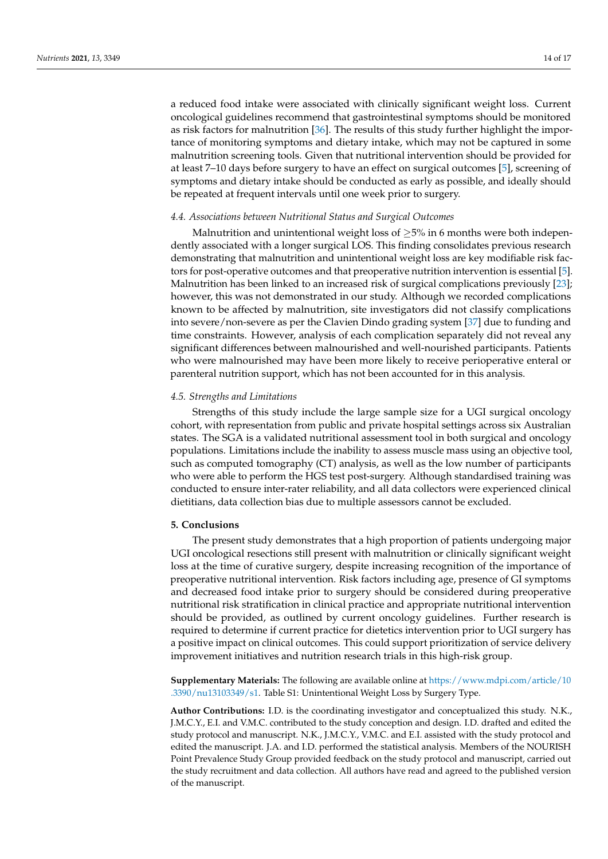a reduced food intake were associated with clinically significant weight loss. Current oncological guidelines recommend that gastrointestinal symptoms should be monitored as risk factors for malnutrition [\[36\]](#page-17-2). The results of this study further highlight the importance of monitoring symptoms and dietary intake, which may not be captured in some malnutrition screening tools. Given that nutritional intervention should be provided for at least 7–10 days before surgery to have an effect on surgical outcomes [\[5\]](#page-15-3), screening of symptoms and dietary intake should be conducted as early as possible, and ideally should be repeated at frequent intervals until one week prior to surgery.

#### *4.4. Associations between Nutritional Status and Surgical Outcomes*

Malnutrition and unintentional weight loss of  $\geq$ 5% in 6 months were both independently associated with a longer surgical LOS. This finding consolidates previous research demonstrating that malnutrition and unintentional weight loss are key modifiable risk factors for post-operative outcomes and that preoperative nutrition intervention is essential [\[5\]](#page-15-3). Malnutrition has been linked to an increased risk of surgical complications previously [\[23\]](#page-16-15); however, this was not demonstrated in our study. Although we recorded complications known to be affected by malnutrition, site investigators did not classify complications into severe/non-severe as per the Clavien Dindo grading system [\[37\]](#page-17-3) due to funding and time constraints. However, analysis of each complication separately did not reveal any significant differences between malnourished and well-nourished participants. Patients who were malnourished may have been more likely to receive perioperative enteral or parenteral nutrition support, which has not been accounted for in this analysis.

#### *4.5. Strengths and Limitations*

Strengths of this study include the large sample size for a UGI surgical oncology cohort, with representation from public and private hospital settings across six Australian states. The SGA is a validated nutritional assessment tool in both surgical and oncology populations. Limitations include the inability to assess muscle mass using an objective tool, such as computed tomography (CT) analysis, as well as the low number of participants who were able to perform the HGS test post-surgery. Although standardised training was conducted to ensure inter-rater reliability, and all data collectors were experienced clinical dietitians, data collection bias due to multiple assessors cannot be excluded.

#### **5. Conclusions**

The present study demonstrates that a high proportion of patients undergoing major UGI oncological resections still present with malnutrition or clinically significant weight loss at the time of curative surgery, despite increasing recognition of the importance of preoperative nutritional intervention. Risk factors including age, presence of GI symptoms and decreased food intake prior to surgery should be considered during preoperative nutritional risk stratification in clinical practice and appropriate nutritional intervention should be provided, as outlined by current oncology guidelines. Further research is required to determine if current practice for dietetics intervention prior to UGI surgery has a positive impact on clinical outcomes. This could support prioritization of service delivery improvement initiatives and nutrition research trials in this high-risk group.

**Supplementary Materials:** The following are available online at [https://www.mdpi.com/article/10](https://www.mdpi.com/article/10.3390/nu13103349/s1) [.3390/nu13103349/s1.](https://www.mdpi.com/article/10.3390/nu13103349/s1) Table S1: Unintentional Weight Loss by Surgery Type.

**Author Contributions:** I.D. is the coordinating investigator and conceptualized this study. N.K., J.M.C.Y., E.I. and V.M.C. contributed to the study conception and design. I.D. drafted and edited the study protocol and manuscript. N.K., J.M.C.Y., V.M.C. and E.I. assisted with the study protocol and edited the manuscript. J.A. and I.D. performed the statistical analysis. Members of the NOURISH Point Prevalence Study Group provided feedback on the study protocol and manuscript, carried out the study recruitment and data collection. All authors have read and agreed to the published version of the manuscript.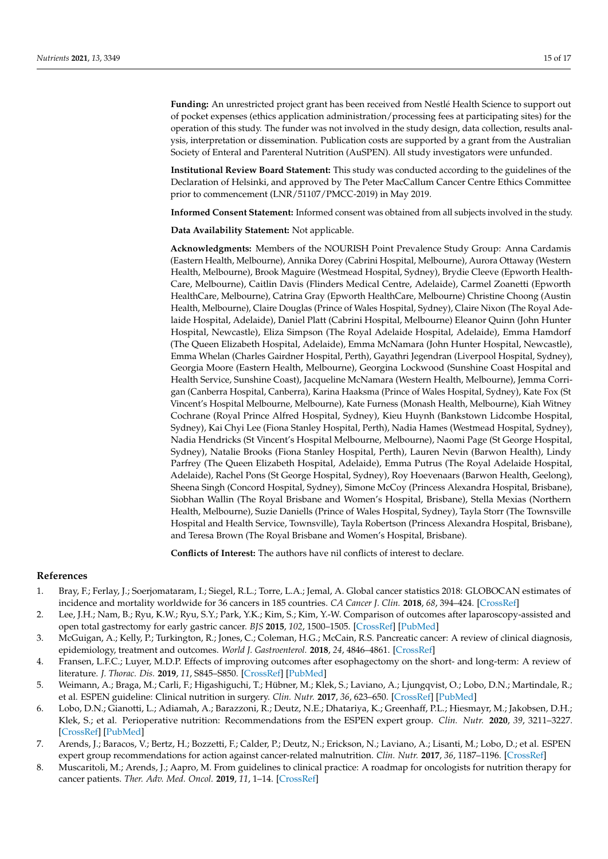**Funding:** An unrestricted project grant has been received from Nestlé Health Science to support out of pocket expenses (ethics application administration/processing fees at participating sites) for the operation of this study. The funder was not involved in the study design, data collection, results analysis, interpretation or dissemination. Publication costs are supported by a grant from the Australian Society of Enteral and Parenteral Nutrition (AuSPEN). All study investigators were unfunded.

**Institutional Review Board Statement:** This study was conducted according to the guidelines of the Declaration of Helsinki, and approved by The Peter MacCallum Cancer Centre Ethics Committee prior to commencement (LNR/51107/PMCC-2019) in May 2019.

**Informed Consent Statement:** Informed consent was obtained from all subjects involved in the study.

**Data Availability Statement:** Not applicable.

**Acknowledgments:** Members of the NOURISH Point Prevalence Study Group: Anna Cardamis (Eastern Health, Melbourne), Annika Dorey (Cabrini Hospital, Melbourne), Aurora Ottaway (Western Health, Melbourne), Brook Maguire (Westmead Hospital, Sydney), Brydie Cleeve (Epworth Health-Care, Melbourne), Caitlin Davis (Flinders Medical Centre, Adelaide), Carmel Zoanetti (Epworth HealthCare, Melbourne), Catrina Gray (Epworth HealthCare, Melbourne) Christine Choong (Austin Health, Melbourne), Claire Douglas (Prince of Wales Hospital, Sydney), Claire Nixon (The Royal Adelaide Hospital, Adelaide), Daniel Platt (Cabrini Hospital, Melbourne) Eleanor Quinn (John Hunter Hospital, Newcastle), Eliza Simpson (The Royal Adelaide Hospital, Adelaide), Emma Hamdorf (The Queen Elizabeth Hospital, Adelaide), Emma McNamara (John Hunter Hospital, Newcastle), Emma Whelan (Charles Gairdner Hospital, Perth), Gayathri Jegendran (Liverpool Hospital, Sydney), Georgia Moore (Eastern Health, Melbourne), Georgina Lockwood (Sunshine Coast Hospital and Health Service, Sunshine Coast), Jacqueline McNamara (Western Health, Melbourne), Jemma Corrigan (Canberra Hospital, Canberra), Karina Haaksma (Prince of Wales Hospital, Sydney), Kate Fox (St Vincent's Hospital Melbourne, Melbourne), Kate Furness (Monash Health, Melbourne), Kiah Witney Cochrane (Royal Prince Alfred Hospital, Sydney), Kieu Huynh (Bankstown Lidcombe Hospital, Sydney), Kai Chyi Lee (Fiona Stanley Hospital, Perth), Nadia Hames (Westmead Hospital, Sydney), Nadia Hendricks (St Vincent's Hospital Melbourne, Melbourne), Naomi Page (St George Hospital, Sydney), Natalie Brooks (Fiona Stanley Hospital, Perth), Lauren Nevin (Barwon Health), Lindy Parfrey (The Queen Elizabeth Hospital, Adelaide), Emma Putrus (The Royal Adelaide Hospital, Adelaide), Rachel Pons (St George Hospital, Sydney), Roy Hoevenaars (Barwon Health, Geelong), Sheena Singh (Concord Hospital, Sydney), Simone McCoy (Princess Alexandra Hospital, Brisbane), Siobhan Wallin (The Royal Brisbane and Women's Hospital, Brisbane), Stella Mexias (Northern Health, Melbourne), Suzie Daniells (Prince of Wales Hospital, Sydney), Tayla Storr (The Townsville Hospital and Health Service, Townsville), Tayla Robertson (Princess Alexandra Hospital, Brisbane), and Teresa Brown (The Royal Brisbane and Women's Hospital, Brisbane).

**Conflicts of Interest:** The authors have nil conflicts of interest to declare.

#### **References**

- <span id="page-15-0"></span>1. Bray, F.; Ferlay, J.; Soerjomataram, I.; Siegel, R.L.; Torre, L.A.; Jemal, A. Global cancer statistics 2018: GLOBOCAN estimates of incidence and mortality worldwide for 36 cancers in 185 countries. *CA Cancer J. Clin.* **2018**, *68*, 394–424. [\[CrossRef\]](http://doi.org/10.3322/caac.21492)
- <span id="page-15-1"></span>2. Lee, J.H.; Nam, B.; Ryu, K.W.; Ryu, S.Y.; Park, Y.K.; Kim, S.; Kim, Y.-W. Comparison of outcomes after laparoscopy-assisted and open total gastrectomy for early gastric cancer. *BJS* **2015**, *102*, 1500–1505. [\[CrossRef\]](http://doi.org/10.1002/bjs.9902) [\[PubMed\]](http://www.ncbi.nlm.nih.gov/pubmed/26398912)
- 3. McGuigan, A.; Kelly, P.; Turkington, R.; Jones, C.; Coleman, H.G.; McCain, R.S. Pancreatic cancer: A review of clinical diagnosis, epidemiology, treatment and outcomes. *World J. Gastroenterol.* **2018**, *24*, 4846–4861. [\[CrossRef\]](http://doi.org/10.3748/wjg.v24.i43.4846)
- <span id="page-15-2"></span>4. Fransen, L.F.C.; Luyer, M.D.P. Effects of improving outcomes after esophagectomy on the short- and long-term: A review of literature. *J. Thorac. Dis.* **2019**, *11*, S845–S850. [\[CrossRef\]](http://doi.org/10.21037/jtd.2018.12.09) [\[PubMed\]](http://www.ncbi.nlm.nih.gov/pubmed/31080668)
- <span id="page-15-3"></span>5. Weimann, A.; Braga, M.; Carli, F.; Higashiguchi, T.; Hübner, M.; Klek, S.; Laviano, A.; Ljungqvist, O.; Lobo, D.N.; Martindale, R.; et al. ESPEN guideline: Clinical nutrition in surgery. *Clin. Nutr.* **2017**, *36*, 623–650. [\[CrossRef\]](http://doi.org/10.1016/j.clnu.2017.02.013) [\[PubMed\]](http://www.ncbi.nlm.nih.gov/pubmed/28385477)
- <span id="page-15-4"></span>6. Lobo, D.N.; Gianotti, L.; Adiamah, A.; Barazzoni, R.; Deutz, N.E.; Dhatariya, K.; Greenhaff, P.L.; Hiesmayr, M.; Jakobsen, D.H.; Klek, S.; et al. Perioperative nutrition: Recommendations from the ESPEN expert group. *Clin. Nutr.* **2020**, *39*, 3211–3227. [\[CrossRef\]](http://doi.org/10.1016/j.clnu.2020.03.038) [\[PubMed\]](http://www.ncbi.nlm.nih.gov/pubmed/32362485)
- <span id="page-15-5"></span>7. Arends, J.; Baracos, V.; Bertz, H.; Bozzetti, F.; Calder, P.; Deutz, N.; Erickson, N.; Laviano, A.; Lisanti, M.; Lobo, D.; et al. ESPEN expert group recommendations for action against cancer-related malnutrition. *Clin. Nutr.* **2017**, *36*, 1187–1196. [\[CrossRef\]](http://doi.org/10.1016/j.clnu.2017.06.017)
- <span id="page-15-6"></span>8. Muscaritoli, M.; Arends, J.; Aapro, M. From guidelines to clinical practice: A roadmap for oncologists for nutrition therapy for cancer patients. *Ther. Adv. Med. Oncol.* **2019**, *11*, 1–14. [\[CrossRef\]](http://doi.org/10.1177/1758835919880084)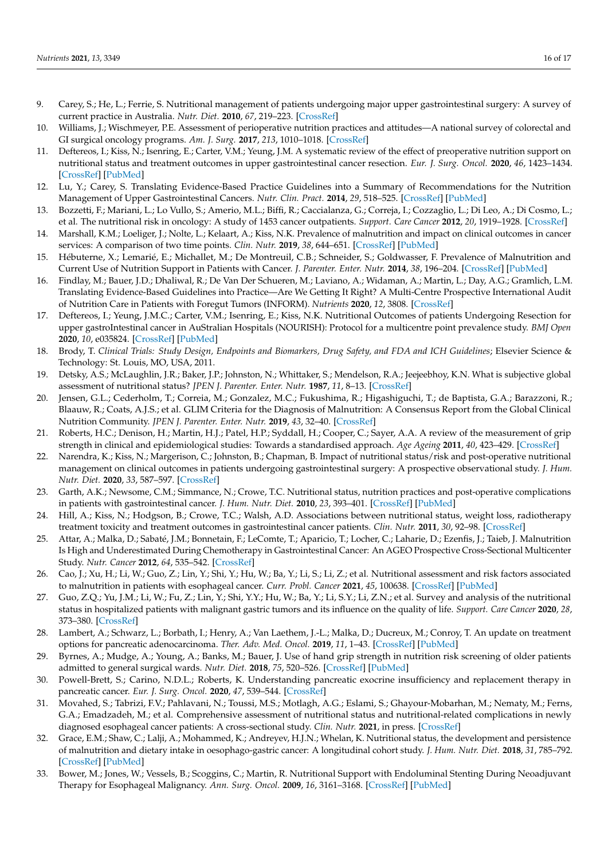- <span id="page-16-0"></span>9. Carey, S.; He, L.; Ferrie, S. Nutritional management of patients undergoing major upper gastrointestinal surgery: A survey of current practice in Australia. *Nutr. Diet.* **2010**, *67*, 219–223. [\[CrossRef\]](http://doi.org/10.1111/j.1747-0080.2010.01466.x)
- <span id="page-16-1"></span>10. Williams, J.; Wischmeyer, P.E. Assessment of perioperative nutrition practices and attitudes—A national survey of colorectal and GI surgical oncology programs. *Am. J. Surg.* **2017**, *213*, 1010–1018. [\[CrossRef\]](http://doi.org/10.1016/j.amjsurg.2016.10.008)
- <span id="page-16-2"></span>11. Deftereos, I.; Kiss, N.; Isenring, E.; Carter, V.M.; Yeung, J.M. A systematic review of the effect of preoperative nutrition support on nutritional status and treatment outcomes in upper gastrointestinal cancer resection. *Eur. J. Surg. Oncol.* **2020**, *46*, 1423–1434. [\[CrossRef\]](http://doi.org/10.1016/j.ejso.2020.04.008) [\[PubMed\]](http://www.ncbi.nlm.nih.gov/pubmed/32336624)
- <span id="page-16-3"></span>12. Lu, Y.; Carey, S. Translating Evidence-Based Practice Guidelines into a Summary of Recommendations for the Nutrition Management of Upper Gastrointestinal Cancers. *Nutr. Clin. Pract.* **2014**, *29*, 518–525. [\[CrossRef\]](http://doi.org/10.1177/0884533614532501) [\[PubMed\]](http://www.ncbi.nlm.nih.gov/pubmed/24803486)
- <span id="page-16-4"></span>13. Bozzetti, F.; Mariani, L.; Lo Vullo, S.; Amerio, M.L.; Biffi, R.; Caccialanza, G.; Correja, I.; Cozzaglio, L.; Di Leo, A.; Di Cosmo, L.; et al. The nutritional risk in oncology: A study of 1453 cancer outpatients. *Support. Care Cancer* **2012**, *20*, 1919–1928. [\[CrossRef\]](http://doi.org/10.1007/s00520-012-1387-x)
- <span id="page-16-12"></span>14. Marshall, K.M.; Loeliger, J.; Nolte, L.; Kelaart, A.; Kiss, N.K. Prevalence of malnutrition and impact on clinical outcomes in cancer services: A comparison of two time points. *Clin. Nutr.* **2019**, *38*, 644–651. [\[CrossRef\]](http://doi.org/10.1016/j.clnu.2018.04.007) [\[PubMed\]](http://www.ncbi.nlm.nih.gov/pubmed/29789167)
- <span id="page-16-5"></span>15. Hébuterne, X.; Lemarié, E.; Michallet, M.; De Montreuil, C.B.; Schneider, S.; Goldwasser, F. Prevalence of Malnutrition and Current Use of Nutrition Support in Patients with Cancer. *J. Parenter. Enter. Nutr.* **2014**, *38*, 196–204. [\[CrossRef\]](http://doi.org/10.1177/0148607113502674) [\[PubMed\]](http://www.ncbi.nlm.nih.gov/pubmed/24748626)
- <span id="page-16-6"></span>16. Findlay, M.; Bauer, J.D.; Dhaliwal, R.; De Van Der Schueren, M.; Laviano, A.; Widaman, A.; Martin, L.; Day, A.G.; Gramlich, L.M. Translating Evidence-Based Guidelines into Practice—Are We Getting It Right? A Multi-Centre Prospective International Audit of Nutrition Care in Patients with Foregut Tumors (INFORM). *Nutrients* **2020**, *12*, 3808. [\[CrossRef\]](http://doi.org/10.3390/nu12123808)
- <span id="page-16-7"></span>17. Deftereos, I.; Yeung, J.M.C.; Carter, V.M.; Isenring, E.; Kiss, N.K. Nutritional Outcomes of patients Undergoing Resection for upper gastroIntestinal cancer in AuStralian Hospitals (NOURISH): Protocol for a multicentre point prevalence study. *BMJ Open* **2020**, *10*, e035824. [\[CrossRef\]](http://doi.org/10.1136/bmjopen-2019-035824) [\[PubMed\]](http://www.ncbi.nlm.nih.gov/pubmed/32385064)
- <span id="page-16-8"></span>18. Brody, T. *Clinical Trials: Study Design, Endpoints and Biomarkers, Drug Safety, and FDA and ICH Guidelines*; Elsevier Science & Technology: St. Louis, MO, USA, 2011.
- <span id="page-16-9"></span>19. Detsky, A.S.; McLaughlin, J.R.; Baker, J.P.; Johnston, N.; Whittaker, S.; Mendelson, R.A.; Jeejeebhoy, K.N. What is subjective global assessment of nutritional status? *JPEN J. Parenter. Enter. Nutr.* **1987**, *11*, 8–13. [\[CrossRef\]](http://doi.org/10.1177/014860718701100108)
- <span id="page-16-10"></span>20. Jensen, G.L.; Cederholm, T.; Correia, M.; Gonzalez, M.C.; Fukushima, R.; Higashiguchi, T.; de Baptista, G.A.; Barazzoni, R.; Blaauw, R.; Coats, A.J.S.; et al. GLIM Criteria for the Diagnosis of Malnutrition: A Consensus Report from the Global Clinical Nutrition Community. *JPEN J. Parenter. Enter. Nutr.* **2019**, *43*, 32–40. [\[CrossRef\]](http://doi.org/10.1002/jpen.1440)
- <span id="page-16-11"></span>21. Roberts, H.C.; Denison, H.; Martin, H.J.; Patel, H.P.; Syddall, H.; Cooper, C.; Sayer, A.A. A review of the measurement of grip strength in clinical and epidemiological studies: Towards a standardised approach. *Age Ageing* **2011**, *40*, 423–429. [\[CrossRef\]](http://doi.org/10.1093/ageing/afr051)
- <span id="page-16-13"></span>22. Narendra, K.; Kiss, N.; Margerison, C.; Johnston, B.; Chapman, B. Impact of nutritional status/risk and post-operative nutritional management on clinical outcomes in patients undergoing gastrointestinal surgery: A prospective observational study. *J. Hum. Nutr. Diet.* **2020**, *33*, 587–597. [\[CrossRef\]](http://doi.org/10.1111/jhn.12763)
- <span id="page-16-15"></span>23. Garth, A.K.; Newsome, C.M.; Simmance, N.; Crowe, T.C. Nutritional status, nutrition practices and post-operative complications in patients with gastrointestinal cancer. *J. Hum. Nutr. Diet.* **2010**, *23*, 393–401. [\[CrossRef\]](http://doi.org/10.1111/j.1365-277X.2010.01058.x) [\[PubMed\]](http://www.ncbi.nlm.nih.gov/pubmed/20337847)
- <span id="page-16-16"></span>24. Hill, A.; Kiss, N.; Hodgson, B.; Crowe, T.C.; Walsh, A.D. Associations between nutritional status, weight loss, radiotherapy treatment toxicity and treatment outcomes in gastrointestinal cancer patients. *Clin. Nutr.* **2011**, *30*, 92–98. [\[CrossRef\]](http://doi.org/10.1016/j.clnu.2010.07.015)
- 25. Attar, A.; Malka, D.; Sabaté, J.M.; Bonnetain, F.; LeComte, T.; Aparicio, T.; Locher, C.; Laharie, D.; Ezenfis, J.; Taieb, J. Malnutrition Is High and Underestimated During Chemotherapy in Gastrointestinal Cancer: An AGEO Prospective Cross-Sectional Multicenter Study. *Nutr. Cancer* **2012**, *64*, 535–542. [\[CrossRef\]](http://doi.org/10.1080/01635581.2012.670743)
- 26. Cao, J.; Xu, H.; Li, W.; Guo, Z.; Lin, Y.; Shi, Y.; Hu, W.; Ba, Y.; Li, S.; Li, Z.; et al. Nutritional assessment and risk factors associated to malnutrition in patients with esophageal cancer. *Curr. Probl. Cancer* **2021**, *45*, 100638. [\[CrossRef\]](http://doi.org/10.1016/j.currproblcancer.2020.100638) [\[PubMed\]](http://www.ncbi.nlm.nih.gov/pubmed/32829957)
- <span id="page-16-14"></span>27. Guo, Z.Q.; Yu, J.M.; Li, W.; Fu, Z.; Lin, Y.; Shi, Y.Y.; Hu, W.; Ba, Y.; Li, S.Y.; Li, Z.N.; et al. Survey and analysis of the nutritional status in hospitalized patients with malignant gastric tumors and its influence on the quality of life. *Support. Care Cancer* **2020**, *28*, 373–380. [\[CrossRef\]](http://doi.org/10.1007/s00520-019-04803-3)
- <span id="page-16-17"></span>28. Lambert, A.; Schwarz, L.; Borbath, I.; Henry, A.; Van Laethem, J.-L.; Malka, D.; Ducreux, M.; Conroy, T. An update on treatment options for pancreatic adenocarcinoma. *Ther. Adv. Med. Oncol.* **2019**, *11*, 1–43. [\[CrossRef\]](http://doi.org/10.1177/1758835919875568) [\[PubMed\]](http://www.ncbi.nlm.nih.gov/pubmed/31598142)
- <span id="page-16-18"></span>29. Byrnes, A.; Mudge, A.; Young, A.; Banks, M.; Bauer, J. Use of hand grip strength in nutrition risk screening of older patients admitted to general surgical wards. *Nutr. Diet.* **2018**, *75*, 520–526. [\[CrossRef\]](http://doi.org/10.1111/1747-0080.12422) [\[PubMed\]](http://www.ncbi.nlm.nih.gov/pubmed/29663632)
- <span id="page-16-19"></span>30. Powell-Brett, S.; Carino, N.D.L.; Roberts, K. Understanding pancreatic exocrine insufficiency and replacement therapy in pancreatic cancer. *Eur. J. Surg. Oncol.* **2020**, *47*, 539–544. [\[CrossRef\]](http://doi.org/10.1016/j.ejso.2020.03.006)
- <span id="page-16-20"></span>31. Movahed, S.; Tabrizi, F.V.; Pahlavani, N.; Toussi, M.S.; Motlagh, A.G.; Eslami, S.; Ghayour-Mobarhan, M.; Nematy, M.; Ferns, G.A.; Emadzadeh, M.; et al. Comprehensive assessment of nutritional status and nutritional-related complications in newly diagnosed esophageal cancer patients: A cross-sectional study. *Clin. Nutr.* **2021**, in press. [\[CrossRef\]](http://doi.org/10.1016/j.clnu.2021.01.003)
- <span id="page-16-21"></span>32. Grace, E.M.; Shaw, C.; Lalji, A.; Mohammed, K.; Andreyev, H.J.N.; Whelan, K. Nutritional status, the development and persistence of malnutrition and dietary intake in oesophago-gastric cancer: A longitudinal cohort study. *J. Hum. Nutr. Diet.* **2018**, *31*, 785–792. [\[CrossRef\]](http://doi.org/10.1111/jhn.12588) [\[PubMed\]](http://www.ncbi.nlm.nih.gov/pubmed/30033545)
- <span id="page-16-22"></span>33. Bower, M.; Jones, W.; Vessels, B.; Scoggins, C.; Martin, R. Nutritional Support with Endoluminal Stenting During Neoadjuvant Therapy for Esophageal Malignancy. *Ann. Surg. Oncol.* **2009**, *16*, 3161–3168. [\[CrossRef\]](http://doi.org/10.1245/s10434-009-0630-2) [\[PubMed\]](http://www.ncbi.nlm.nih.gov/pubmed/19636630)